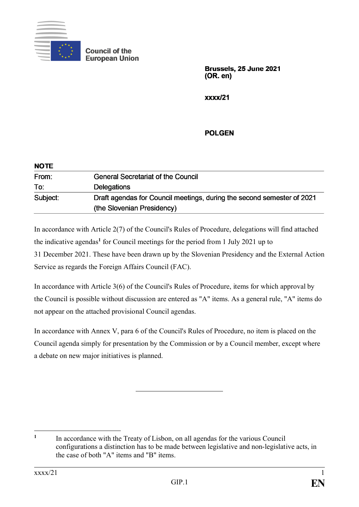

**Council of the European Union** 

> Brussels, 25 June 2021  $(OR. en)$

 $xxx/21$ 

## **POLGEN**

| <b>NOTE</b> |                                                                                                      |
|-------------|------------------------------------------------------------------------------------------------------|
| From:       | <b>General Secretariat of the Council</b>                                                            |
| To:         | <b>Delegations</b>                                                                                   |
| Subject:    | Draft agendas for Council meetings, during the second semester of 2021<br>(the Slovenian Presidency) |
|             |                                                                                                      |

In accordance with Article 2(7) of the Council's Rules of Procedure, delegations will find attached the indicative agendas**<sup>1</sup>** for Council meetings for the period from 1 July 2021 up to 31 December 2021. These have been drawn up by the Slovenian Presidency and the External Action Service as regards the Foreign Affairs Council (FAC).

In accordance with Article 3(6) of the Council's Rules of Procedure, items for which approval by the Council is possible without discussion are entered as "A" items. As a general rule, "A" items do not appear on the attached provisional Council agendas.

In accordance with Annex V, para 6 of the Council's Rules of Procedure, no item is placed on the Council agenda simply for presentation by the Commission or by a Council member, except where a debate on new major initiatives is planned.

<sup>1</sup> **1** In accordance with the Treaty of Lisbon, on all agendas for the various Council configurations a distinction has to be made between legislative and non-legislative acts, in the case of both "A" items and "B" items.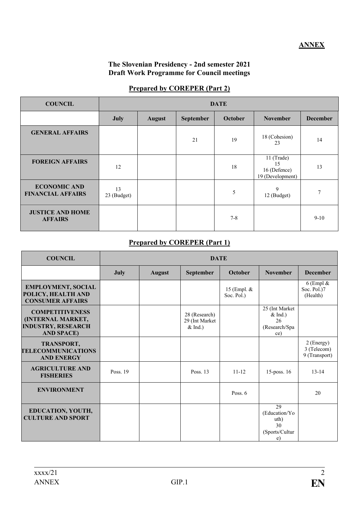### **The Slovenian Presidency - 2nd semester 2021 Draft Work Programme for Council meetings**

#### **Prepared by COREPER (Part 2)**

| <b>COUNCIL</b>                                  | <b>DATE</b>       |               |           |         |                                                      |                 |
|-------------------------------------------------|-------------------|---------------|-----------|---------|------------------------------------------------------|-----------------|
|                                                 | <b>July</b>       | <b>August</b> | September | October | <b>November</b>                                      | <b>December</b> |
| <b>GENERAL AFFAIRS</b>                          |                   |               | 21        | 19      | 18 (Cohesion)<br>23                                  | 14              |
| <b>FOREIGN AFFAIRS</b>                          | 12                |               |           | 18      | 11 (Trade)<br>15<br>16 (Defence)<br>19 (Development) | 13              |
| <b>ECONOMIC AND</b><br><b>FINANCIAL AFFAIRS</b> | 13<br>23 (Budget) |               |           | 5       | 9<br>12 (Budget)                                     | 7               |
| <b>JUSTICE AND HOME</b><br><b>AFFAIRS</b>       |                   |               |           | $7 - 8$ |                                                      | $9-10$          |

## **Prepared by COREPER (Part 1)**

| <b>COUNCIL</b>                                                                                | <b>DATE</b> |               |                                              |                           |                                                            |                                            |
|-----------------------------------------------------------------------------------------------|-------------|---------------|----------------------------------------------|---------------------------|------------------------------------------------------------|--------------------------------------------|
|                                                                                               | <b>July</b> | <b>August</b> | September                                    | October                   | <b>November</b>                                            | <b>December</b>                            |
| <b>EMPLOYMENT, SOCIAL</b><br>POLICY, HEALTH AND<br><b>CONSUMER AFFAIRS</b>                    |             |               |                                              | 15 (Empl. &<br>Soc. Pol.) |                                                            | 6 (Empl $\&$<br>Soc. Pol.)7<br>(Health)    |
| <b>COMPETITIVENESS</b><br>(INTERNAL MARKET,<br><b>INDUSTRY, RESEARCH</b><br><b>AND SPACE)</b> |             |               | 28 (Research)<br>29 (Int Market<br>$&$ Ind.) |                           | 25 (Int Market)<br>$&$ Ind.)<br>26<br>(Research/Spa<br>ce) |                                            |
| <b>TRANSPORT,</b><br><b>TELECOMMUNICATIONS</b><br><b>AND ENERGY</b>                           |             |               |                                              |                           |                                                            | 2 (Energy)<br>3 (Telecom)<br>9 (Transport) |
| <b>AGRICULTURE AND</b><br><b>FISHERIES</b>                                                    | Poss. 19    |               | Poss. 13                                     | $11 - 12$                 | 15-poss. 16                                                | $13 - 14$                                  |
| <b>ENVIRONMENT</b>                                                                            |             |               |                                              | Poss. $6$                 |                                                            | 20                                         |
| EDUCATION, YOUTH,<br><b>CULTURE AND SPORT</b>                                                 |             |               |                                              |                           | 29<br>(Education/Yo<br>uth)<br>30<br>(Sports/Cultur<br>e)  |                                            |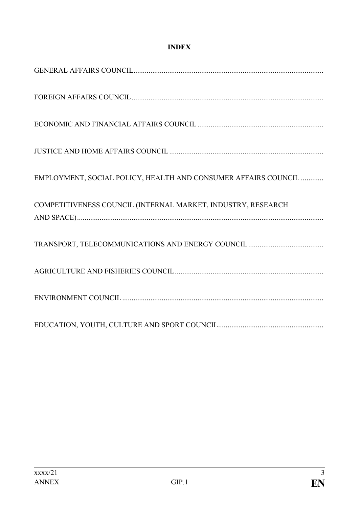## **INDEX**

| EMPLOYMENT, SOCIAL POLICY, HEALTH AND CONSUMER AFFAIRS COUNCIL |
|----------------------------------------------------------------|
| COMPETITIVENESS COUNCIL (INTERNAL MARKET, INDUSTRY, RESEARCH   |
|                                                                |
|                                                                |
|                                                                |
|                                                                |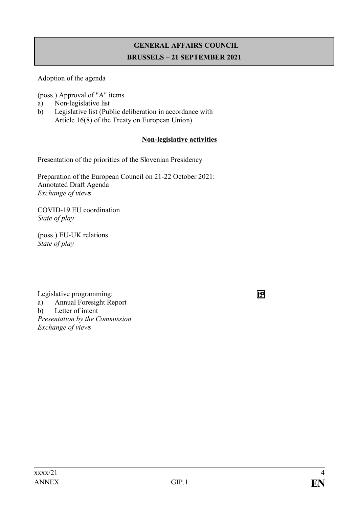# **GENERAL AFFAIRS COUNCIL BRUSSELS – 21 SEPTEMBER 2021**

Adoption of the agenda

(poss.) Approval of "A" items

- a) Non-legislative list
- b) Legislative list (Public deliberation in accordance with Article 16(8) of the Treaty on European Union)

## **Non-legislative activities**

Presentation of the priorities of the Slovenian Presidency

Preparation of the European Council on 21-22 October 2021: Annotated Draft Agenda *Exchange of views*

COVID-19 EU coordination *State of play*

(poss.) EU-UK relations *State of play*

Legislative programming: a) Annual Foresight Report b) Letter of intent *Presentation by the Commission Exchange of views*

冏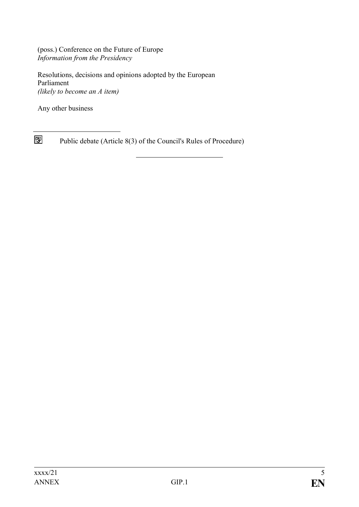(poss.) Conference on the Future of Europe *Information from the Presidency*

Resolutions, decisions and opinions adopted by the European Parliament *(likely to become an A item)*

Any other business

 $\boxed{5}$ Public debate (Article 8(3) of the Council's Rules of Procedure)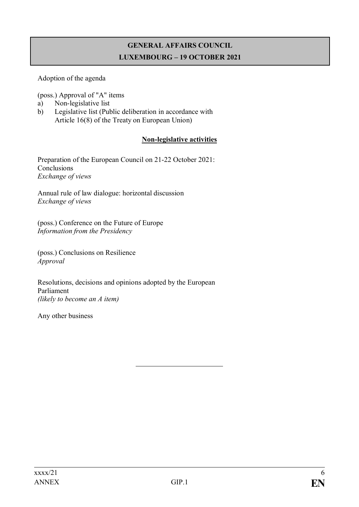## **GENERAL AFFAIRS COUNCIL LUXEMBOURG – 19 OCTOBER 2021**

Adoption of the agenda

(poss.) Approval of "A" items

- a) Non-legislative list
- b) Legislative list (Public deliberation in accordance with Article 16(8) of the Treaty on European Union)

## **Non-legislative activities**

Preparation of the European Council on 21-22 October 2021: Conclusions *Exchange of views*

Annual rule of law dialogue: horizontal discussion *Exchange of views*

(poss.) Conference on the Future of Europe *Information from the Presidency*

(poss.) Conclusions on Resilience *Approval*

Resolutions, decisions and opinions adopted by the European Parliament *(likely to become an A item)*

Any other business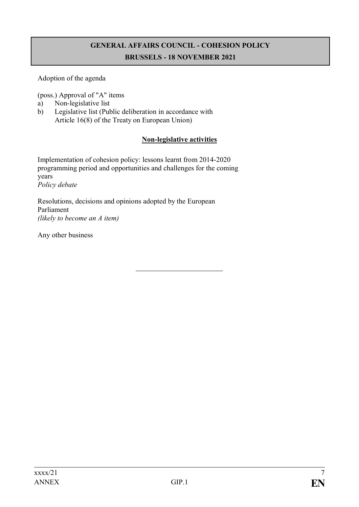# **GENERAL AFFAIRS COUNCIL - COHESION POLICY BRUSSELS - 18 NOVEMBER 2021**

Adoption of the agenda

(poss.) Approval of "A" items

- a) Non-legislative list
- b) Legislative list (Public deliberation in accordance with Article 16(8) of the Treaty on European Union)

## **Non-legislative activities**

Implementation of cohesion policy: lessons learnt from 2014-2020 programming period and opportunities and challenges for the coming years *Policy debate*

Resolutions, decisions and opinions adopted by the European Parliament *(likely to become an A item)*

Any other business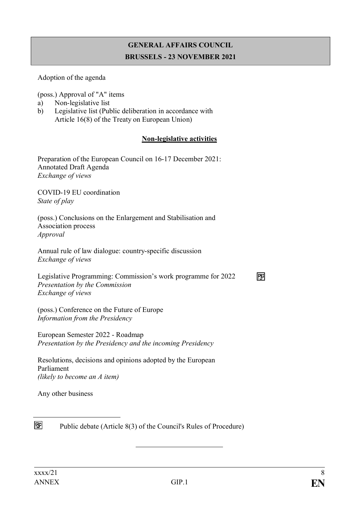# **GENERAL AFFAIRS COUNCIL BRUSSELS - 23 NOVEMBER 2021**

#### Adoption of the agenda

(poss.) Approval of "A" items

- a) Non-legislative list
- b) Legislative list (Public deliberation in accordance with Article 16(8) of the Treaty on European Union)

#### **Non-legislative activities**

Preparation of the European Council on 16-17 December 2021: Annotated Draft Agenda *Exchange of views*

COVID-19 EU coordination *State of play*

(poss.) Conclusions on the Enlargement and Stabilisation and Association process *Approval*

Annual rule of law dialogue: country-specific discussion *Exchange of views*

Legislative Programming: Commission's work programme for 2022 *Presentation by the Commission Exchange of views*

(poss.) Conference on the Future of Europe *Information from the Presidency*

European Semester 2022 - Roadmap *Presentation by the Presidency and the incoming Presidency*

Resolutions, decisions and opinions adopted by the European Parliament *(likely to become an A item)*

Any other business



Public debate (Article 8(3) of the Council's Rules of Procedure)

冏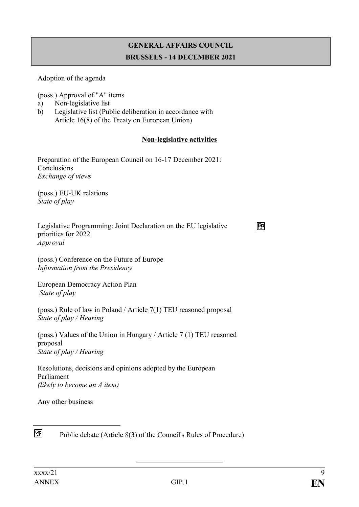## **GENERAL AFFAIRS COUNCIL BRUSSELS - 14 DECEMBER 2021**

Adoption of the agenda

(poss.) Approval of "A" items

- a) Non-legislative list
- b) Legislative list (Public deliberation in accordance with Article 16(8) of the Treaty on European Union)

## **Non-legislative activities**

冋

Preparation of the European Council on 16-17 December 2021: Conclusions *Exchange of views*

(poss.) EU-UK relations *State of play*

| Legislative Programming: Joint Declaration on the EU legislative |  |
|------------------------------------------------------------------|--|
| priorities for 2022                                              |  |
| Approval                                                         |  |

(poss.) Conference on the Future of Europe *Information from the Presidency*

European Democracy Action Plan *State of play*

(poss.) Rule of law in Poland / Article 7(1) TEU reasoned proposal *State of play / Hearing*

(poss.) Values of the Union in Hungary / Article 7 (1) TEU reasoned proposal *State of play / Hearing*

Resolutions, decisions and opinions adopted by the European Parliament *(likely to become an A item)*

Any other business



Public debate (Article 8(3) of the Council's Rules of Procedure)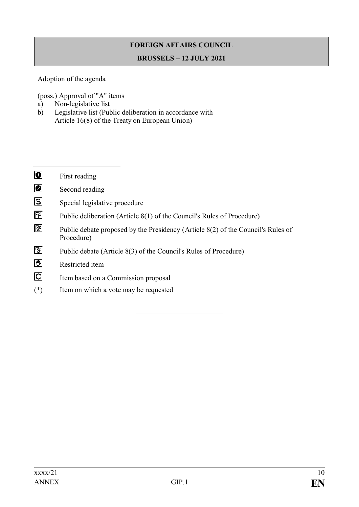# **FOREIGN AFFAIRS COUNCIL**

#### **BRUSSELS – 12 JULY 2021**

### Adoption of the agenda

(poss.) Approval of "A" items

- a) Non-legislative list
- b) Legislative list (Public deliberation in accordance with Article 16(8) of the Treaty on European Union)

| $\overline{\mathbf{o}}$ | First reading                                                                                  |
|-------------------------|------------------------------------------------------------------------------------------------|
| Ø                       | Second reading                                                                                 |
| $\overline{\mathbf{S}}$ | Special legislative procedure                                                                  |
| 囨                       | Public deliberation (Article 8(1) of the Council's Rules of Procedure)                         |
| 囫                       | Public debate proposed by the Presidency (Article 8(2) of the Council's Rules of<br>Procedure) |
| 囨                       | Public debate (Article 8(3) of the Council's Rules of Procedure)                               |
| 鬯                       | Restricted item                                                                                |
| $\overline{\mathbf{C}}$ | Item based on a Commission proposal                                                            |

(\*) Item on which a vote may be requested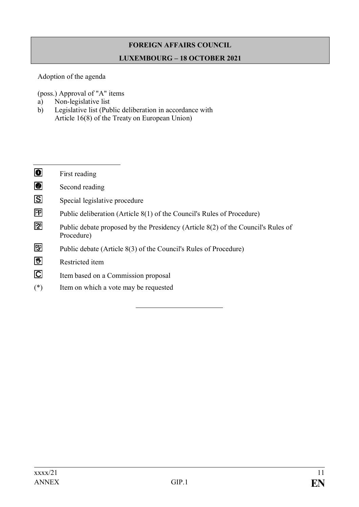# **FOREIGN AFFAIRS COUNCIL LUXEMBOURG – 18 OCTOBER 2021**

Adoption of the agenda

(poss.) Approval of "A" items

- a) Non-legislative list
- b) Legislative list (Public deliberation in accordance with Article 16(8) of the Treaty on European Union)
- $\overline{\bullet}$ First reading
- $\overline{\mathbf{e}}$ Second reading
- $\overline{S}$ Special legislative procedure
- 冋 Public deliberation (Article 8(1) of the Council's Rules of Procedure)
- 囨 Public debate proposed by the Presidency (Article 8(2) of the Council's Rules of Procedure)
- 冏 Public debate (Article 8(3) of the Council's Rules of Procedure)
- 图 Restricted item
- $\overline{C}$ Item based on a Commission proposal
- (\*) Item on which a vote may be requested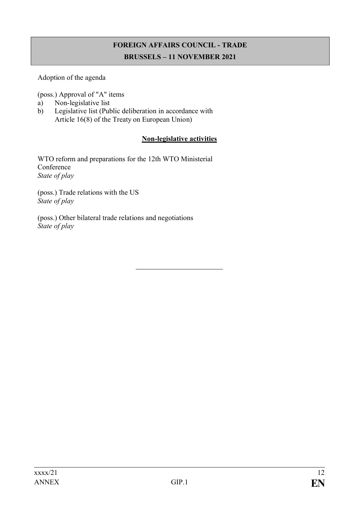# **FOREIGN AFFAIRS COUNCIL - TRADE BRUSSELS – 11 NOVEMBER 2021**

### Adoption of the agenda

(poss.) Approval of "A" items

- a) Non-legislative list
- b) Legislative list (Public deliberation in accordance with Article 16(8) of the Treaty on European Union)

#### **Non-legislative activities**

WTO reform and preparations for the 12th WTO Ministerial Conference *State of play*

(poss.) Trade relations with the US *State of play*

(poss.) Other bilateral trade relations and negotiations *State of play*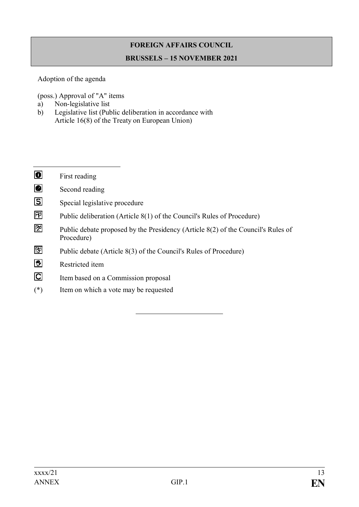# **FOREIGN AFFAIRS COUNCIL BRUSSELS – 15 NOVEMBER 2021**

## Adoption of the agenda

(poss.) Approval of "A" items

- a) Non-legislative list
- b) Legislative list (Public deliberation in accordance with Article 16(8) of the Treaty on European Union)

| $\overline{\mathbf{o}}$ | First reading                                                                                  |
|-------------------------|------------------------------------------------------------------------------------------------|
| Ø                       | Second reading                                                                                 |
| $\overline{\mathbf{S}}$ | Special legislative procedure                                                                  |
| 囨                       | Public deliberation (Article 8(1) of the Council's Rules of Procedure)                         |
| 囨                       | Public debate proposed by the Presidency (Article 8(2) of the Council's Rules of<br>Procedure) |
| 囨                       | Public debate (Article 8(3) of the Council's Rules of Procedure)                               |
| 鬯                       | Restricted item                                                                                |
| $\overline{\mathbf{C}}$ | Item based on a Commission proposal                                                            |
|                         |                                                                                                |

(\*) Item on which a vote may be requested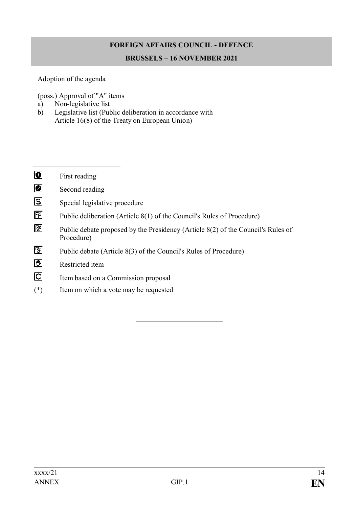# **FOREIGN AFFAIRS COUNCIL - DEFENCE**

#### **BRUSSELS – 16 NOVEMBER 2021**

## Adoption of the agenda

(poss.) Approval of "A" items

- a) Non-legislative list
- b) Legislative list (Public deliberation in accordance with Article 16(8) of the Treaty on European Union)

| $\overline{\mathbf{o}}$ | First reading                                                                                  |
|-------------------------|------------------------------------------------------------------------------------------------|
| Ø                       | Second reading                                                                                 |
| $\overline{\mathbf{S}}$ | Special legislative procedure                                                                  |
| 囨                       | Public deliberation (Article 8(1) of the Council's Rules of Procedure)                         |
| 囫                       | Public debate proposed by the Presidency (Article 8(2) of the Council's Rules of<br>Procedure) |
| 囨                       | Public debate (Article 8(3) of the Council's Rules of Procedure)                               |
| 鬯                       | Restricted item                                                                                |
| $\overline{\mathbf{C}}$ | Item based on a Commission proposal                                                            |

(\*) Item on which a vote may be requested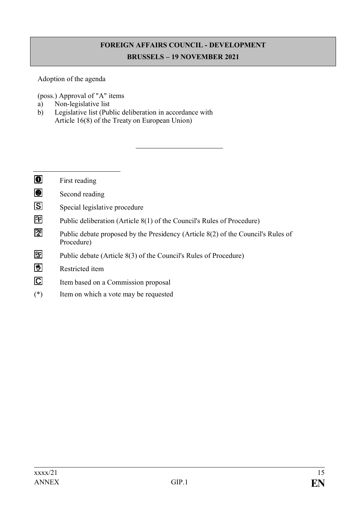# **FOREIGN AFFAIRS COUNCIL - DEVELOPMENT BRUSSELS – 19 NOVEMBER 2021**

## Adoption of the agenda

(poss.) Approval of "A" items

- a) Non-legislative list
- b) Legislative list (Public deliberation in accordance with Article 16(8) of the Treaty on European Union)

| $\blacksquare$          | First reading                                                                                  |
|-------------------------|------------------------------------------------------------------------------------------------|
| ◙                       | Second reading                                                                                 |
| <u>ය</u>                | Special legislative procedure                                                                  |
| 囨                       | Public deliberation (Article 8(1) of the Council's Rules of Procedure)                         |
| 囫                       | Public debate proposed by the Presidency (Article 8(2) of the Council's Rules of<br>Procedure) |
| 囫                       | Public debate (Article 8(3) of the Council's Rules of Procedure)                               |
| 匮                       | Restricted item                                                                                |
| $\overline{\mathbf{C}}$ | Item based on a Commission proposal                                                            |
| $(*)$                   | Item on which a vote may be requested                                                          |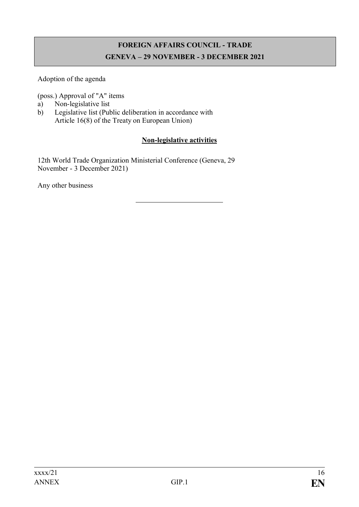# **FOREIGN AFFAIRS COUNCIL - TRADE GENEVA – 29 NOVEMBER - 3 DECEMBER 2021**

Adoption of the agenda

(poss.) Approval of "A" items

- a) Non-legislative list
- b) Legislative list (Public deliberation in accordance with Article 16(8) of the Treaty on European Union)

### **Non-legislative activities**

12th World Trade Organization Ministerial Conference (Geneva, 29 November - 3 December 2021)

Any other business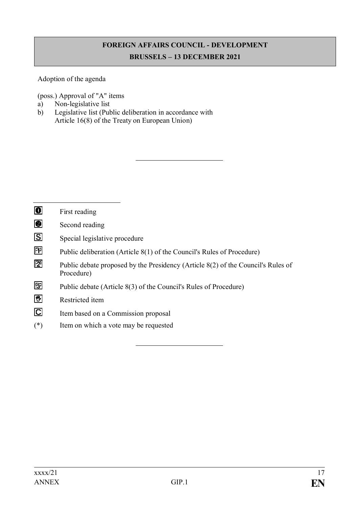# **FOREIGN AFFAIRS COUNCIL - DEVELOPMENT BRUSSELS – 13 DECEMBER 2021**

Adoption of the agenda

(poss.) Approval of "A" items

- a) Non-legislative list
- b) Legislative list (Public deliberation in accordance with Article 16(8) of the Treaty on European Union)

| $\blacksquare$          | First reading                                                                                  |
|-------------------------|------------------------------------------------------------------------------------------------|
| $\bullet$               | Second reading                                                                                 |
| $\boxdot$               | Special legislative procedure                                                                  |
| 囨                       | Public deliberation (Article 8(1) of the Council's Rules of Procedure)                         |
| 囫                       | Public debate proposed by the Presidency (Article 8(2) of the Council's Rules of<br>Procedure) |
| 囫                       | Public debate (Article 8(3) of the Council's Rules of Procedure)                               |
| 匮                       | Restricted item                                                                                |
| $\overline{\mathbb{C}}$ | Item based on a Commission proposal                                                            |
| $(*)$                   | Item on which a vote may be requested                                                          |
|                         |                                                                                                |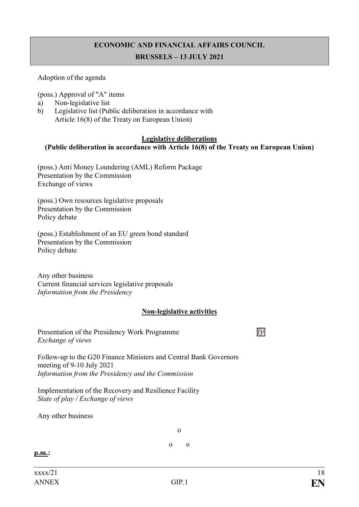# **ECONOMIC AND FINANCIAL AFFAIRS COUNCIL**

#### **BRUSSELS – 13 JULY 2021**

#### Adoption of the agenda

(poss.) Approval of "A" items

- a) Non-legislative list
- b) Legislative list (Public deliberation in accordance with Article 16(8) of the Treaty on European Union)

#### **Legislative deliberations**

#### **(Public deliberation in accordance with Article 16(8) of the Treaty on European Union)**

(poss.) Anti Money Loundering (AML) Reform Package Presentation by the Commission Exchange of views

(poss.) Own resources legislative proposals Presentation by the Commission Policy debate

(poss.) Establishment of an EU green bond standard Presentation by the Commission Policy debate

Any other business Current financial services legislative proposals *Information from the Presidency*

#### **Non-legislative activities**

冏

Presentation of the Presidency Work Programme *Exchange of views*

Follow-up to the G20 Finance Ministers and Central Bank Governors meeting of 9-10 July 2021 *Information from the Presidency and the Commission*

Implementation of the Recovery and Resilience Facility *State of play / Exchange of views*

Any other business

o

o o

**p.m.:**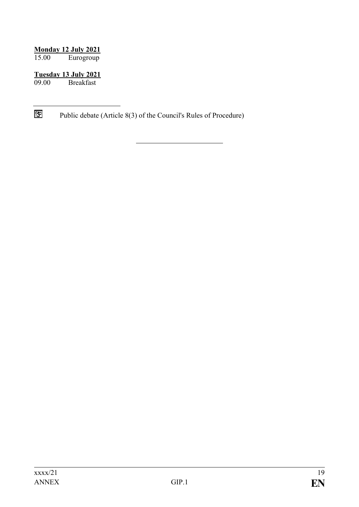#### **Monday 12 July 2021**

15.00 Eurogroup

# **Tuesday 13 July 2021**

**Breakfast** 

 $\boxtimes$ Public debate (Article 8(3) of the Council's Rules of Procedure)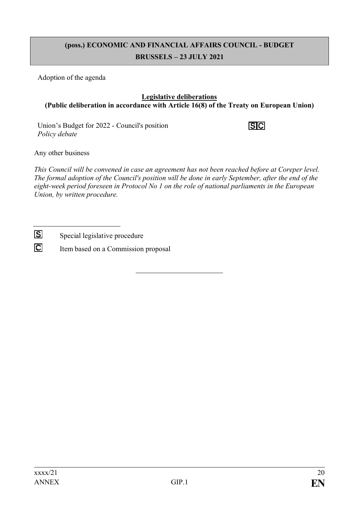# **(poss.) ECONOMIC AND FINANCIAL AFFAIRS COUNCIL - BUDGET BRUSSELS – 23 JULY 2021**

Adoption of the agenda

#### **Legislative deliberations (Public deliberation in accordance with Article 16(8) of the Treaty on European Union)**

Union's Budget for 2022 - Council's position *Policy debate*

 $|S|C|$ 

Any other business

*This Council will be convened in case an agreement has not been reached before at Coreper level. The formal adoption of the Council's position will be done in early September, after the end of the eight-week period foreseen in Protocol No 1 on the role of national parliaments in the European Union, by written procedure.*

 $|S|$ Special legislative procedure

 $\overline{C}$ Item based on a Commission proposal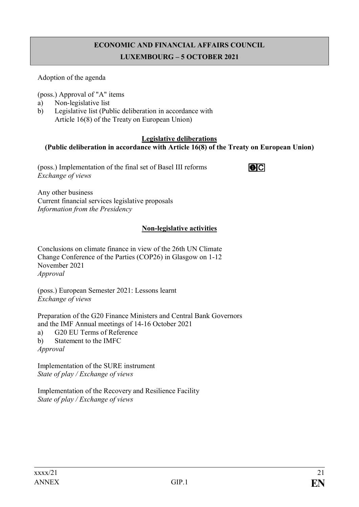# **ECONOMIC AND FINANCIAL AFFAIRS COUNCIL LUXEMBOURG – 5 OCTOBER 2021**

#### Adoption of the agenda

(poss.) Approval of "A" items

- a) Non-legislative list
- b) Legislative list (Public deliberation in accordance with Article 16(8) of the Treaty on European Union)

#### **Legislative deliberations**

#### **(Public deliberation in accordance with Article 16(8) of the Treaty on European Union)**

(poss.) Implementation of the final set of Basel III reforms *Exchange of views*

 $\overline{\bullet}$ 

Any other business Current financial services legislative proposals *Information from the Presidency*

## **Non-legislative activities**

Conclusions on climate finance in view of the 26th UN Climate Change Conference of the Parties (COP26) in Glasgow on 1-12 November 2021 *Approval*

(poss.) European Semester 2021: Lessons learnt *Exchange of views*

Preparation of the G20 Finance Ministers and Central Bank Governors and the IMF Annual meetings of 14-16 October 2021 a) G20 EU Terms of Reference b) Statement to the IMFC *Approval*

Implementation of the SURE instrument *State of play / Exchange of views*

Implementation of the Recovery and Resilience Facility *State of play / Exchange of views*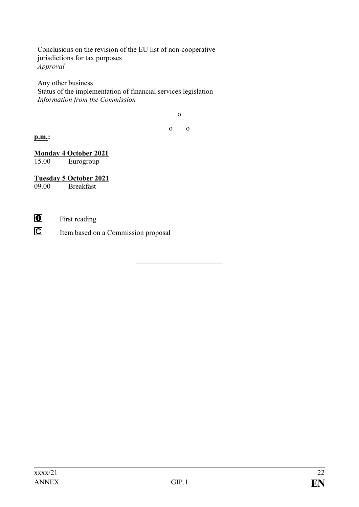Conclusions on the revision of the EU list of non-cooperative jurisdictions for tax purposes *Approval* 

Any other business Status of the implementation of financial services legislation *Information from the Commission*

o

o o

#### **p.m.:**

#### **Monday 4 October 2021** 15.00 Eurogroup

#### **Tuesday 5 October 2021**

09.00 Breakfast

 $\bullet$ First reading

 $\overline{C}$ Item based on a Commission proposal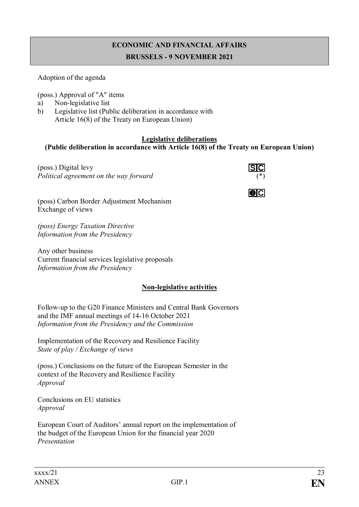# **ECONOMIC AND FINANCIAL AFFAIRS BRUSSELS - 9 NOVEMBER 2021**

#### Adoption of the agenda

(poss.) Approval of "A" items

- a) Non-legislative list
- b) Legislative list (Public deliberation in accordance with Article 16(8) of the Treaty on European Union)

#### **Legislative deliberations**

## **(Public deliberation in accordance with Article 16(8) of the Treaty on European Union)**

(poss.) Digital levy *Political agreement on the way forward* (\*)



 $\overline{\mathbf{O}}$   $\overline{\mathbf{C}}$ 

(poss) Carbon Border Adjustment Mechanism Exchange of views

*(poss) Energy Taxation Directive Information from the Presidency*

Any other business Current financial services legislative proposals *Information from the Presidency*

## **Non-legislative activities**

Follow-up to the G20 Finance Ministers and Central Bank Governors and the IMF annual meetings of 14-16 October 2021 *Information from the Presidency and the Commission*

Implementation of the Recovery and Resilience Facility *State of play / Exchange of views*

(poss.) Conclusions on the future of the European Semester in the context of the Recovery and Resilience Facility *Approval*

Conclusions on EU statistics *Approval*

European Court of Auditors' annual report on the implementation of the budget of the European Union for the financial year 2020 *Presentation*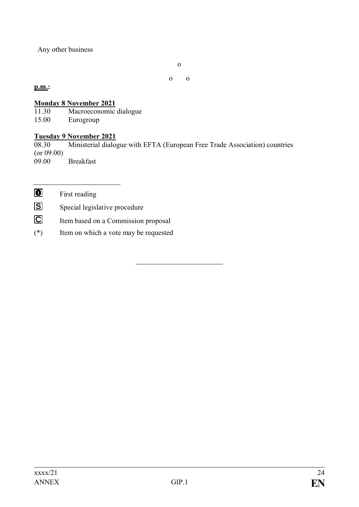Any other business

o

o o

#### **p.m.:**

# **Monday 8 November 2021**<br>11.30 Macroeconomic

11.30 Macroeconomic dialogue<br>15.00 Eurogroup

Eurogroup

#### **Tuesday 9 November 2021**

08.30 Ministerial dialogue with EFTA (European Free Trade Association) countries (or 09.00) 09.00 Breakfast

 $\bullet$ First reading

 $|S|$ Special legislative procedure

 $\overline{C}$ Item based on a Commission proposal

(\*) Item on which a vote may be requested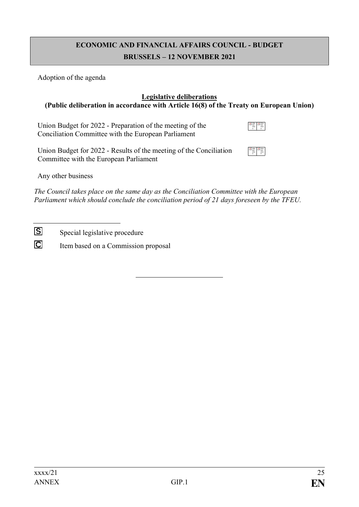# **ECONOMIC AND FINANCIAL AFFAIRS COUNCIL - BUDGET BRUSSELS – 12 NOVEMBER 2021**

Adoption of the agenda

#### **Legislative deliberations (Public deliberation in accordance with Article 16(8) of the Treaty on European Union)**

Union Budget for 2022 - Preparation of the meeting of the Conciliation Committee with the European Parliament

Union Budget for 2022 - Results of the meeting of the Conciliation Committee with the European Parliament

Slike tren utno ni Slike tren utno ni

Any other business

*The Council takes place on the same day as the Conciliation Committee with the European Parliament which should conclude the conciliation period of 21 days foreseen by the TFEU.*

 $\overline{S}$ Special legislative procedure

 $\overline{C}$ Item based on a Commission proposal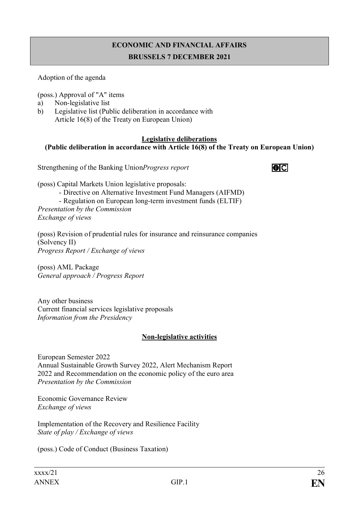# **ECONOMIC AND FINANCIAL AFFAIRS BRUSSELS 7 DECEMBER 2021**

Adoption of the agenda

(poss.) Approval of "A" items

- a) Non-legislative list
- b) Legislative list (Public deliberation in accordance with Article 16(8) of the Treaty on European Union)

#### **Legislative deliberations (Public deliberation in accordance with Article 16(8) of the Treaty on European Union)**

Strengthening of the Banking Union*Progress report*



- Directive on Alternative Investment Fund Managers (AIFMD)
- Regulation on European long-term investment funds (ELTIF)

*Presentation by the Commission Exchange of views*

(poss) Revision of prudential rules for insurance and reinsurance companies (Solvency II) *Progress Report / Exchange of views*

(poss) AML Package *General approach / Progress Report* 

Any other business Current financial services legislative proposals *Information from the Presidency*

#### **Non-legislative activities**

European Semester 2022 Annual Sustainable Growth Survey 2022, Alert Mechanism Report 2022 and Recommendation on the economic policy of the euro area *Presentation by the Commission* 

Economic Governance Review *Exchange of views* 

Implementation of the Recovery and Resilience Facility *State of play / Exchange of views*

(poss.) Code of Conduct (Business Taxation)

 $|O|C|$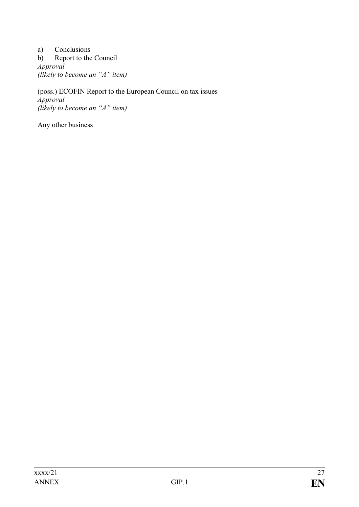a) Conclusions b) Report to the Council *Approval (likely to become an "A" item)*

(poss.) ECOFIN Report to the European Council on tax issues *Approval (likely to become an "A" item)*

Any other business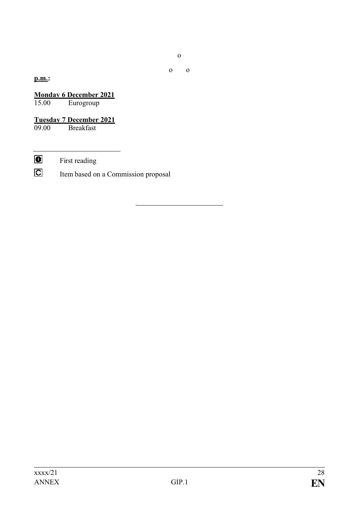o

o o

### **p.m.:**

**Monday 6 December 2021**<br>15.00 Eurogroup Eurogroup

**Tuesday 7 December 2021 Breakfast** 

 $\bullet$ First reading

 $\overline{\mathbf{C}}$ Item based on a Commission proposal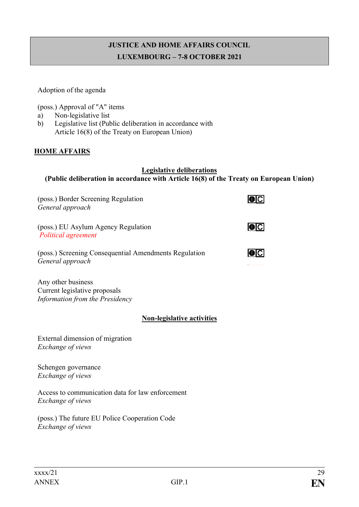# **JUSTICE AND HOME AFFAIRS COUNCIL LUXEMBOURG – 7-8 OCTOBER 2021**

Adoption of the agenda

(poss.) Approval of "A" items

- a) Non-legislative list
- b) Legislative list (Public deliberation in accordance with Article 16(8) of the Treaty on European Union)

#### **HOME AFFAIRS**

#### **Legislative deliberations (Public deliberation in accordance with Article 16(8) of the Treaty on European Union)**

| (poss.) Border Screening Regulation<br>General approach                                |  |
|----------------------------------------------------------------------------------------|--|
| (poss.) EU Asylum Agency Regulation<br>Political agreement                             |  |
| (poss.) Screening Consequential Amendments Regulation<br>General approach              |  |
| Any other business<br>Current legislative proposals<br>Information from the Presidency |  |
| <b>Non-legislative activities</b>                                                      |  |
| External dimension of migration<br>Exchange of views                                   |  |
| Schengen governance<br>Exchange of views                                               |  |
| Access to communication data for law enforcement<br><i>Exchange of views</i>           |  |

(poss.) The future EU Police Cooperation Code *Exchange of views*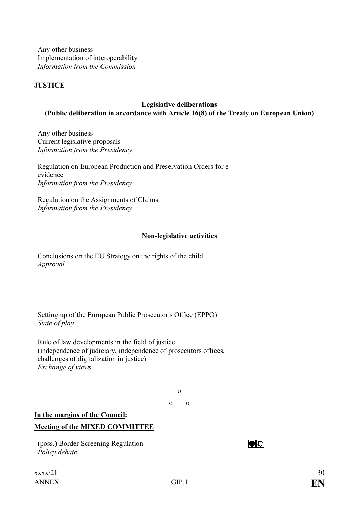Any other business Implementation of interoperability *Information from the Commission*

### **JUSTICE**

#### **Legislative deliberations (Public deliberation in accordance with Article 16(8) of the Treaty on European Union)**

Any other business Current legislative proposals *Information from the Presidency*

Regulation on European Production and Preservation Orders for eevidence *Information from the Presidency*

Regulation on the Assignments of Claims *Information from the Presidency*

#### **Non-legislative activities**

Conclusions on the EU Strategy on the rights of the child *Approval*

Setting up of the European Public Prosecutor's Office (EPPO) *State of play*

Rule of law developments in the field of justice (independence of judiciary, independence of prosecutors offices, challenges of digitalization in justice) *Exchange of views*

o

o o

## **In the margins of the Council: Meeting of the MIXED COMMITTEE**

(poss.) Border Screening Regulation *Policy debate*

 $\overline{O}$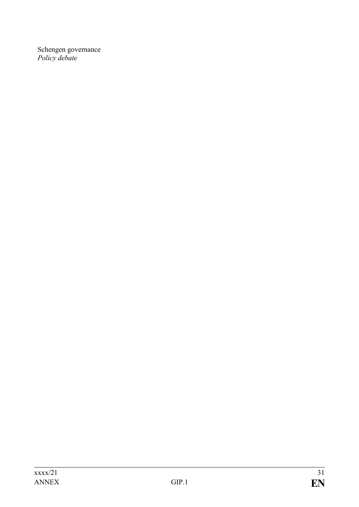Schengen governance *Policy debate*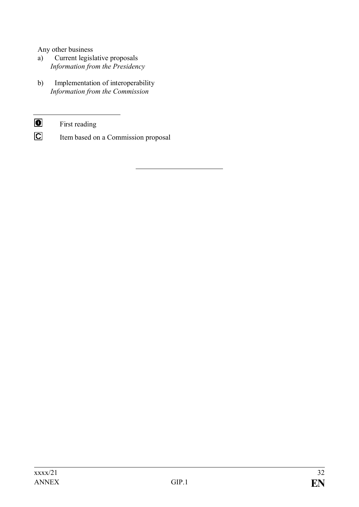Any other business

- a) Current legislative proposals *Information from the Presidency*
- b) Implementation of interoperability *Information from the Commission*
- $\bullet$ First reading
- $\overline{\mathbf{C}}$ Item based on a Commission proposal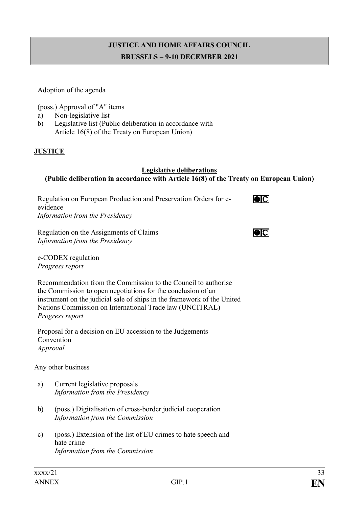## **JUSTICE AND HOME AFFAIRS COUNCIL BRUSSELS – 9-10 DECEMBER 2021**

Adoption of the agenda

(poss.) Approval of "A" items

- a) Non-legislative list
- b) Legislative list (Public deliberation in accordance with Article 16(8) of the Treaty on European Union)

#### **JUSTICE**

## **Legislative deliberations**

## **(Public deliberation in accordance with Article 16(8) of the Treaty on European Union)**

Regulation on European Production and Preservation Orders for e- $\overline{O}$ evidence *Information from the Presidency* Regulation on the Assignments of Claims  $\overline{O}$ *Information from the Presidency*

e-CODEX regulation *Progress report*

Recommendation from the Commission to the Council to authorise the Commission to open negotiations for the conclusion of an instrument on the judicial sale of ships in the framework of the United Nations Commission on International Trade law (UNCITRAL) *Progress report*

Proposal for a decision on EU accession to the Judgements Convention *Approval*

Any other business

- a) Current legislative proposals *Information from the Presidency*
- b) (poss.) Digitalisation of cross-border judicial cooperation *Information from the Commission*
- c) (poss.) Extension of the list of EU crimes to hate speech and hate crime *Information from the Commission*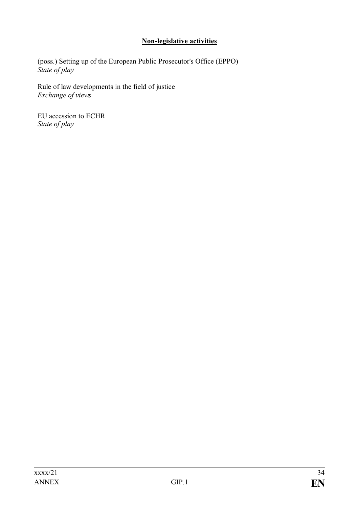## **Non-legislative activities**

(poss.) Setting up of the European Public Prosecutor's Office (EPPO) *State of play*

Rule of law developments in the field of justice *Exchange of views*

EU accession to ECHR *State of play*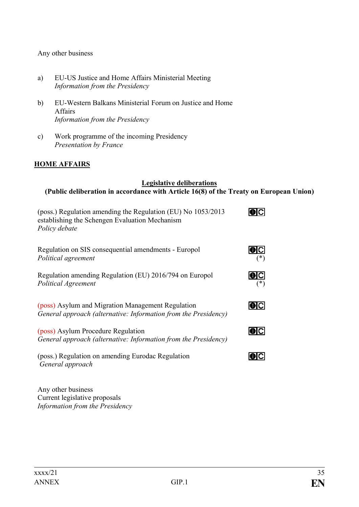#### Any other business

- a) EU-US Justice and Home Affairs Ministerial Meeting *Information from the Presidency*
- b) EU-Western Balkans Ministerial Forum on Justice and Home Affairs *Information from the Presidency*
- c) Work programme of the incoming Presidency *Presentation by France*

#### **HOME AFFAIRS**

#### **Legislative deliberations (Public deliberation in accordance with Article 16(8) of the Treaty on European Union)**

| (poss.) Regulation amending the Regulation (EU) No 1053/2013<br>establishing the Schengen Evaluation Mechanism<br>Policy debate |       |
|---------------------------------------------------------------------------------------------------------------------------------|-------|
| Regulation on SIS consequential amendments - Europol<br>Political agreement                                                     |       |
| Regulation amending Regulation (EU) 2016/794 on Europol<br>Political Agreement                                                  |       |
| (poss) Asylum and Migration Management Regulation<br>General approach (alternative: Information from the Presidency)            | IO IC |
| (poss) Asylum Procedure Regulation<br>General approach (alternative: Information from the Presidency)                           | IOIL  |
| (poss.) Regulation on amending Eurodac Regulation<br>General approach                                                           |       |

Any other business Current legislative proposals *Information from the Presidency*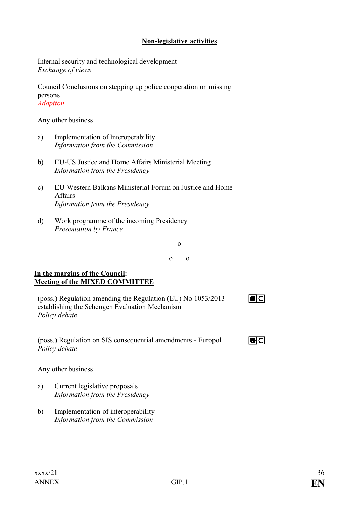#### **Non-legislative activities**

Internal security and technological development *Exchange of views*

Council Conclusions on stepping up police cooperation on missing persons *Adoption*

Any other business

- a) Implementation of Interoperability *Information from the Commission*
- b) EU-US Justice and Home Affairs Ministerial Meeting *Information from the Presidency*
- c) EU-Western Balkans Ministerial Forum on Justice and Home Affairs *Information from the Presidency*
- d) Work programme of the incoming Presidency *Presentation by France*

o

o o

#### **In the margins of the Council: Meeting of the MIXED COMMITTEE**

| (poss.) Regulation amending the Regulation (EU) No 1053/2013 | $\overline{\mathbf{0}}$ C |
|--------------------------------------------------------------|---------------------------|
| establishing the Schengen Evaluation Mechanism               |                           |
| Policy debate                                                |                           |

(poss.) Regulation on SIS consequential amendments - Europol *Policy debate*

Any other business

- a) Current legislative proposals *Information from the Presidency*
- b) Implementation of interoperability *Information from the Commission*

 $\overline{\mathbf{O}}$   $\overline{\mathbf{C}}$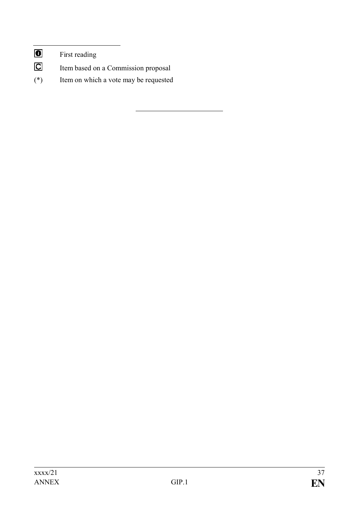- $\overline{C}$ Item based on a Commission proposal
- (\*) Item on which a vote may be requested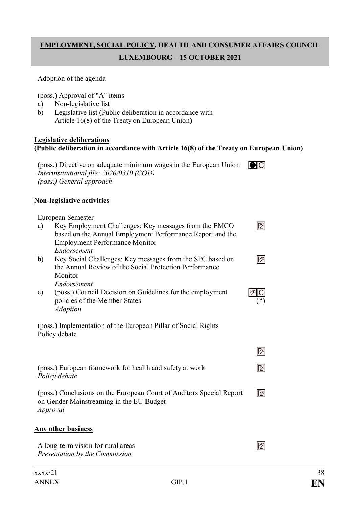# **EMPLOYMENT, SOCIAL POLICY, HEALTH AND CONSUMER AFFAIRS COUNCIL LUXEMBOURG – 15 OCTOBER 2021**

#### Adoption of the agenda

(poss.) Approval of "A" items

- a) Non-legislative list
- b) Legislative list (Public deliberation in accordance with Article 16(8) of the Treaty on European Union)

#### **Legislative deliberations (Public deliberation in accordance with Article 16(8) of the Treaty on European Union)**

| (poss.) Directive on adequate minimum wages in the European Union | O C |
|-------------------------------------------------------------------|-----|
| Interinstitutional file: 2020/0310 (COD)                          |     |
| (poss.) General approach                                          |     |

#### **Non-legislative activities**

|               | European Semester                                                                                                  |              |
|---------------|--------------------------------------------------------------------------------------------------------------------|--------------|
| a)            | Key Employment Challenges: Key messages from the EMCO<br>based on the Annual Employment Performance Report and the | $\mathbb{E}$ |
|               | <b>Employment Performance Monitor</b>                                                                              |              |
|               | Endorsement                                                                                                        |              |
| b)            | Key Social Challenges: Key messages from the SPC based on                                                          | $\mathbb{E}$ |
|               | the Annual Review of the Social Protection Performance                                                             |              |
|               | Monitor                                                                                                            |              |
|               | Endorsement                                                                                                        |              |
| $\mathbf{c})$ | (poss.) Council Decision on Guidelines for the employment                                                          |              |
|               | policies of the Member States                                                                                      |              |
|               | <b>Adoption</b>                                                                                                    |              |
|               |                                                                                                                    |              |
|               | (poss.) Implementation of the European Pillar of Social Rights<br>Policy debate                                    |              |
|               |                                                                                                                    |              |
|               |                                                                                                                    | $\mathbb{E}$ |
|               |                                                                                                                    |              |
|               | (poss.) European framework for health and safety at work                                                           | 12           |
| Policy debate |                                                                                                                    |              |
|               |                                                                                                                    |              |
|               | (poss.) Conclusions on the European Court of Auditors Special Report                                               | $\mathbb{Z}$ |
|               | on Gender Mainstreaming in the EU Budget                                                                           |              |
| Approval      |                                                                                                                    |              |
|               |                                                                                                                    |              |
|               | <u>Any other business</u>                                                                                          |              |
|               | A long-term vision for rural areas                                                                                 |              |
|               | Presentation by the Commission                                                                                     |              |
|               |                                                                                                                    |              |
|               |                                                                                                                    |              |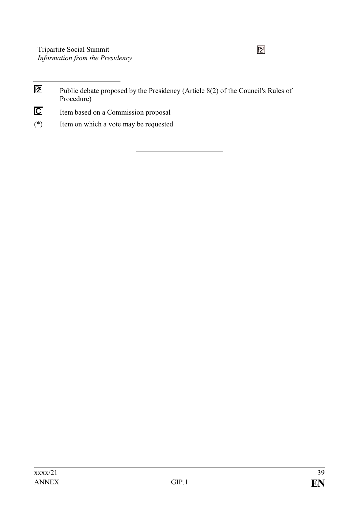# $\mathbb{Z}^1$

- 团 Public debate proposed by the Presidency (Article 8(2) of the Council's Rules of Procedure)
- $\overline{\mathbf{C}}$ Item based on a Commission proposal
- (\*) Item on which a vote may be requested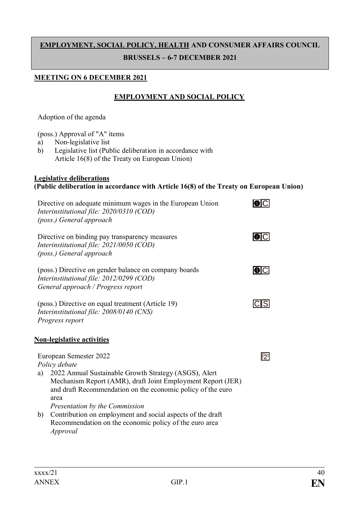# **EMPLOYMENT, SOCIAL POLICY, HEALTH AND CONSUMER AFFAIRS COUNCIL BRUSSELS – 6-7 DECEMBER 2021**

#### **MEETING ON 6 DECEMBER 2021**

## **EMPLOYMENT AND SOCIAL POLICY**

Adoption of the agenda

(poss.) Approval of "A" items

- a) Non-legislative list
- b) Legislative list (Public deliberation in accordance with Article 16(8) of the Treaty on European Union)

#### **Legislative deliberations (Public deliberation in accordance with Article 16(8) of the Treaty on European Union)**

| Directive on adequate minimum wages in the European Union<br>Interinstitutional file: 2020/0310 (COD)<br>(poss.) General approach                                                                 |     |
|---------------------------------------------------------------------------------------------------------------------------------------------------------------------------------------------------|-----|
| Directive on binding pay transparency measures<br>Interinstitutional file: 2021/0050 (COD)<br>(poss.) General approach                                                                            |     |
| (poss.) Directive on gender balance on company boards<br>Interinstitutional file: 2012/0299 (COD)<br>General approach / Progress report                                                           |     |
| (poss.) Directive on equal treatment (Article 19)<br>Interinstitutional file: 2008/0140 (CNS)<br>Progress report                                                                                  |     |
| <b>Non-legislative activities</b>                                                                                                                                                                 |     |
| European Semester 2022<br>Policy debate                                                                                                                                                           | 127 |
| 2022 Annual Sustainable Growth Strategy (ASGS), Alert<br>a)<br>Mechanism Report (AMR), draft Joint Employment Report (JER)<br>and draft Recommendation on the economic policy of the euro<br>area |     |
| Presentation by the Commission                                                                                                                                                                    |     |
| b)<br>Contribution on employment and social aspects of the draft<br>Recommendation on the economic policy of the euro area<br>Approval                                                            |     |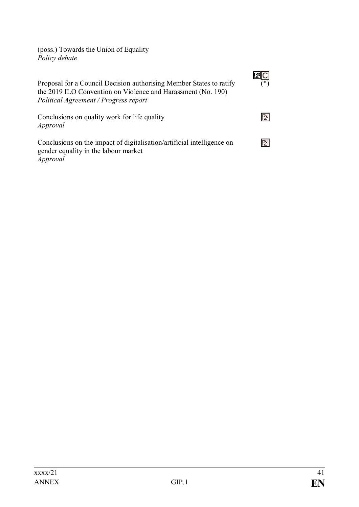(poss.) Towards the Union of Equality *Policy debate*

| Proposal for a Council Decision authorising Member States to ratify<br>the 2019 ILO Convention on Violence and Harassment (No. 190)<br>Political Agreement / Progress report | ∗ |
|------------------------------------------------------------------------------------------------------------------------------------------------------------------------------|---|
| Conclusions on quality work for life quality<br>Approval                                                                                                                     |   |
| Conclusions on the impact of digitalisation/artificial intelligence on<br>gender equality in the labour market<br>Approval                                                   |   |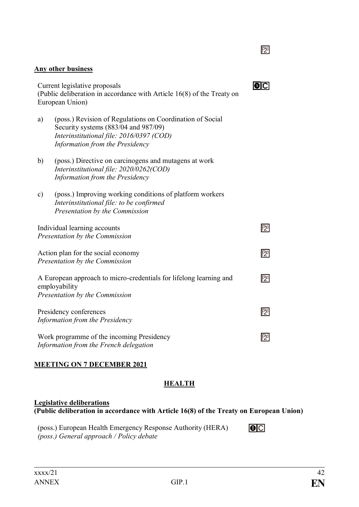# **Any other business** Current legislative proposals (Public deliberation in accordance with Article 16(8) of the Treaty on European Union) a) (poss.) Revision of Regulations on Coordination of Social Security systems (883/04 and 987/09) *Interinstitutional file: 2016/0397 (COD) Information from the Presidency* b) (poss.) Directive on carcinogens and mutagens at work *Interinstitutional file: 2020/0262(COD) Information from the Presidency* c) (poss.) Improving working conditions of platform workers *Interinstitutional file: to be confirmed Presentation by the Commission*

囨 Individual learning accounts *Presentation by the Commission* 囨 Action plan for the social economy *Presentation by the Commission* A European approach to micro-credentials for lifelong learning and  $\mathbb{E}$ employability *Presentation by the Commission* Presidency conferences 囨 *Information from the Presidency*  $\mathbb{E}$ 

Work programme of the incoming Presidency *Information from the French delegation*

# **MEETING ON 7 DECEMBER 2021**

# **HEALTH**

## **Legislative deliberations (Public deliberation in accordance with Article 16(8) of the Treaty on European Union)**

(poss.) European Health Emergency Response Authority (HERA) *(poss.) General approach / Policy debate*

 $\overline{O}$ 

 $\mathbb{E}$ 

 $\overline{0}$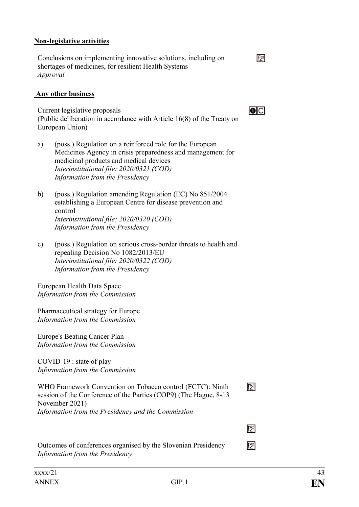#### **Non-legislative activities**

Conclusions on implementing innovative solutions, including on shortages of medicines, for resilient Health Systems *Approval*

#### **Any other business**

Current legislative proposals (Public deliberation in accordance with Article 16(8) of the Treaty on European Union)

- a) (poss.) Regulation on a reinforced role for the European Medicines Agency in crisis preparedness and management for medicinal products and medical devices *Interinstitutional file: 2020/0321 (COD) Information from the Presidency*
- b) (poss.) Regulation amending Regulation (EC) No 851/2004 establishing a European Centre for disease prevention and control *Interinstitutional file: 2020/0320 (COD) Information from the Presidency*
- c) (poss.) Regulation on serious cross-border threats to health and repealing Decision No 1082/2013/EU *Interinstitutional file: 2020/0322 (COD) Information from the Presidency*

European Health Data Space *Information from the Commission*

Pharmaceutical strategy for Europe *Information from the Commission*

Europe's Beating Cancer Plan *Information from the Commission*

COVID-19 : state of play *Information from the Commission*

WHO Framework Convention on Tobacco control (FCTC): Ninth session of the Conference of the Parties (COP9) (The Hague, 8-13 November 2021) *Information from the Presidency and the Commission*

Outcomes of conferences organised by the Slovenian Presidency *Information from the Presidency*

 $\mathbb{E}^1$ 

 $\overline{O}$ 

冈

 $\overline{P}$ 

囨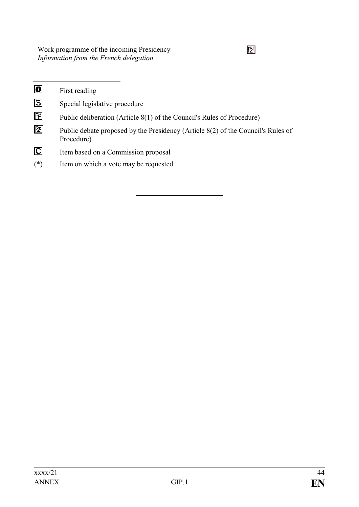Work programme of the incoming Presidency *Information from the French delegation*

| $\bullet$      | First reading                                                                                  |
|----------------|------------------------------------------------------------------------------------------------|
| $\boxed{5}$    | Special legislative procedure                                                                  |
| 囨              | Public deliberation (Article 8(1) of the Council's Rules of Procedure)                         |
| 囫              | Public debate proposed by the Presidency (Article 8(2) of the Council's Rules of<br>Procedure) |
| $\overline{C}$ | Item based on a Commission proposal                                                            |
| $(*)$          | Item on which a vote may be requested                                                          |
|                |                                                                                                |

 $\overline{2}$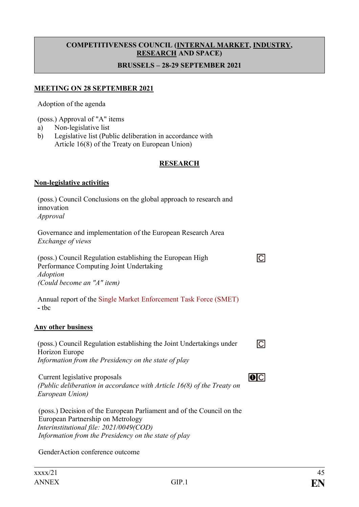# **COMPETITIVENESS COUNCIL (INTERNAL MARKET, INDUSTRY, RESEARCH AND SPACE)**

#### **BRUSSELS – 28-29 SEPTEMBER 2021**

#### **MEETING ON 28 SEPTEMBER 2021**

Adoption of the agenda

(poss.) Approval of "A" items

- a) Non-legislative list
- b) Legislative list (Public deliberation in accordance with Article 16(8) of the Treaty on European Union)

#### **RESEARCH**

#### **Non-legislative activities**

| (poss.) Council Conclusions on the global approach to research and<br>innovation<br>Approval                                                                                                                  |  |
|---------------------------------------------------------------------------------------------------------------------------------------------------------------------------------------------------------------|--|
| Governance and implementation of the European Research Area<br>Exchange of views                                                                                                                              |  |
| (poss.) Council Regulation establishing the European High<br>Performance Computing Joint Undertaking<br><b>Adoption</b><br>(Could become an "A" item)                                                         |  |
| Annual report of the Single Market Enforcement Task Force (SMET)<br>- tbc                                                                                                                                     |  |
| <b>Any other business</b>                                                                                                                                                                                     |  |
| (poss.) Council Regulation establishing the Joint Undertakings under<br>Horizon Europe<br>Information from the Presidency on the state of play                                                                |  |
| Current legislative proposals<br>(Public deliberation in accordance with Article 16(8) of the Treaty on<br>European Union)                                                                                    |  |
| (poss.) Decision of the European Parliament and of the Council on the<br>European Partnership on Metrology<br>Interinstitutional file: 2021/0049(COD)<br>Information from the Presidency on the state of play |  |

GenderAction conference outcome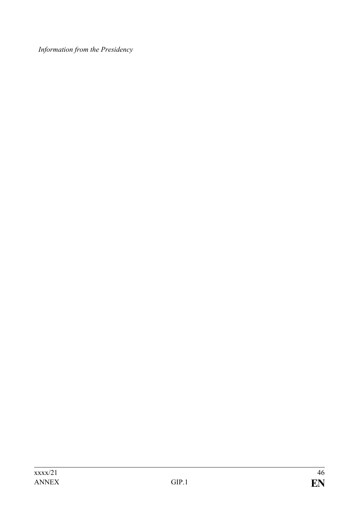*Information from the Presidency*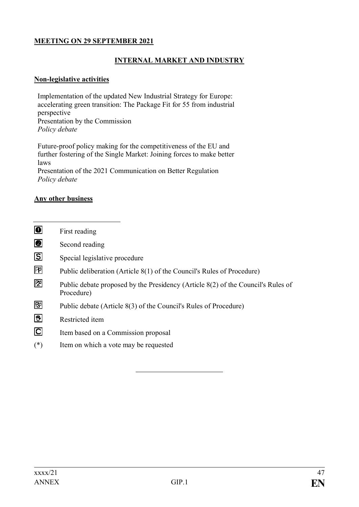## **MEETING ON 29 SEPTEMBER 2021**

## **INTERNAL MARKET AND INDUSTRY**

#### **Non-legislative activities**

Implementation of the updated New Industrial Strategy for Europe: accelerating green transition: The Package Fit for 55 from industrial perspective Presentation by the Commission *Policy debate*

Future-proof policy making for the competitiveness of the EU and further fostering of the Single Market: Joining forces to make better laws Presentation of the 2021 Communication on Better Regulation *Policy debate*

#### **Any other business**

- $\bullet$ First reading
- $\overline{\mathbf{e}}$ Second reading
- $\overline{S}$ Special legislative procedure
- 囨 Public deliberation (Article 8(1) of the Council's Rules of Procedure)
- 囨 Public debate proposed by the Presidency (Article 8(2) of the Council's Rules of Procedure)
- 冏 Public debate (Article 8(3) of the Council's Rules of Procedure)
- 图 Restricted item
- $\overline{\mathbf{C}}$ Item based on a Commission proposal
- (\*) Item on which a vote may be requested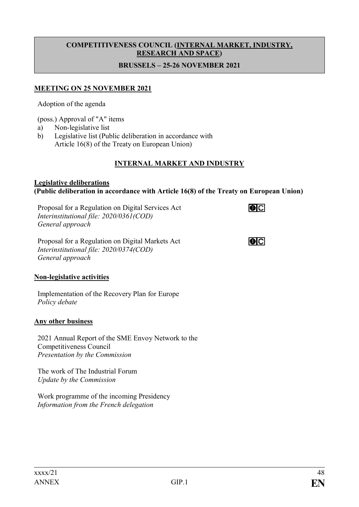# **COMPETITIVENESS COUNCIL (INTERNAL MARKET, INDUSTRY, RESEARCH AND SPACE)**

## **BRUSSELS – 25-26 NOVEMBER 2021**

## **MEETING ON 25 NOVEMBER 2021**

Adoption of the agenda

(poss.) Approval of "A" items

- a) Non-legislative list
- b) Legislative list (Public deliberation in accordance with Article 16(8) of the Treaty on European Union)

## **INTERNAL MARKET AND INDUSTRY**

 $\overline{\mathbf{O}}$ 

 $\overline{\mathbf{O}}$ 

#### **Legislative deliberations (Public deliberation in accordance with Article 16(8) of the Treaty on European Union)**

Proposal for a Regulation on Digital Services Act *Interinstitutional file: 2020/0361(COD) General approach*

Proposal for a Regulation on Digital Markets Act *Interinstitutional file: 2020/0374(COD) General approach*

#### **Non-legislative activities**

Implementation of the Recovery Plan for Europe *Policy debate*

#### **Any other business**

2021 Annual Report of the SME Envoy Network to the Competitiveness Council *Presentation by the Commission*

The work of The Industrial Forum *Update by the Commission*

Work programme of the incoming Presidency *Information from the French delegation*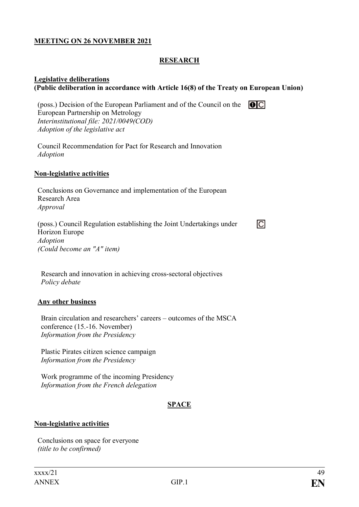#### **MEETING ON 26 NOVEMBER 2021**

#### **RESEARCH**

#### **Legislative deliberations (Public deliberation in accordance with Article 16(8) of the Treaty on European Union)**

(poss.) Decision of the European Parliament and of the Council on the  $\Box$ European Partnership on Metrology *Interinstitutional file: 2021/0049(COD) Adoption of the legislative act*

Council Recommendation for Pact for Research and Innovation *Adoption*

#### **Non-legislative activities**

Conclusions on Governance and implementation of the European Research Area *Approval*

(poss.) Council Regulation establishing the Joint Undertakings under Horizon Europe *Adoption (Could become an "A" item)*

Research and innovation in achieving cross-sectoral objectives *Policy debate*

#### **Any other business**

Brain circulation and researchers' careers – outcomes of the MSCA conference (15.-16. November) *Information from the Presidency*

Plastic Pirates citizen science campaign *Information from the Presidency*

Work programme of the incoming Presidency *Information from the French delegation*

#### **SPACE**

#### **Non-legislative activities**

Conclusions on space for everyone *(title to be confirmed)*

厄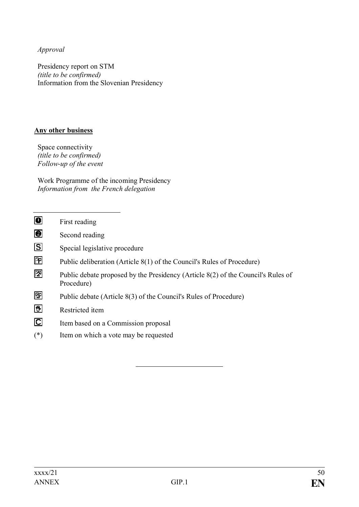*Approval*

Presidency report on STM *(title to be confirmed)* Information from the Slovenian Presidency

## **Any other business**

Space connectivity *(title to be confirmed) Follow-up of the event*

Work Programme of the incoming Presidency *Information from the French delegation*

| $\bullet$               | First reading                                                                                  |
|-------------------------|------------------------------------------------------------------------------------------------|
| ◙                       | Second reading                                                                                 |
| $\overline{\mathbf{S}}$ | Special legislative procedure                                                                  |
| 囨                       | Public deliberation (Article 8(1) of the Council's Rules of Procedure)                         |
| 囨                       | Public debate proposed by the Presidency (Article 8(2) of the Council's Rules of<br>Procedure) |
| 囫                       | Public debate (Article 8(3) of the Council's Rules of Procedure)                               |
| 図                       | Restricted item                                                                                |
| $\overline{\mathbf{C}}$ | Item based on a Commission proposal                                                            |
| $(*)$                   | Item on which a vote may be requested                                                          |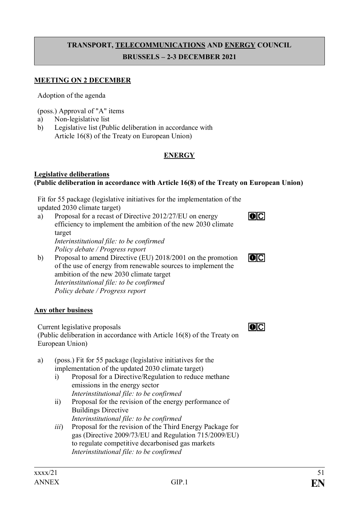# **TRANSPORT, TELECOMMUNICATIONS AND ENERGY COUNCIL BRUSSELS – 2-3 DECEMBER 2021**

#### **MEETING ON 2 DECEMBER**

Adoption of the agenda

(poss.) Approval of "A" items

- a) Non-legislative list
- b) Legislative list (Public deliberation in accordance with Article 16(8) of the Treaty on European Union)

## **ENERGY**

#### **Legislative deliberations (Public deliberation in accordance with Article 16(8) of the Treaty on European Union)**

Fit for 55 package (legislative initiatives for the implementation of the updated 2030 climate target)

- a) Proposal for a recast of Directive 2012/27/EU on energy efficiency to implement the ambition of the new 2030 climate target *Interinstitutional file: to be confirmed Policy debate / Progress report*
- b) Proposal to amend Directive (EU) 2018/2001 on the promotion of the use of energy from renewable sources to implement the ambition of the new 2030 climate target *Interinstitutional file: to be confirmed Policy debate / Progress report*

#### **Any other business**

Current legislative proposals (Public deliberation in accordance with Article 16(8) of the Treaty on

European Union)

- a) (poss.) Fit for 55 package (legislative initiatives for the implementation of the updated 2030 climate target)
	- i) Proposal for a Directive/Regulation to reduce methane emissions in the energy sector *Interinstitutional file: to be confirmed*
	- ii) Proposal for the revision of the energy performance of Buildings Directive *Interinstitutional file: to be confirmed*
	- *iii*) Proposal for the revision of the Third Energy Package for gas (Directive 2009/73/EU and Regulation 715/2009/EU) to regulate competitive decarbonised gas markets *Interinstitutional file: to be confirmed*

 $\overline{O}$ 

 $\overline{O}$ 

 $\overline{O}$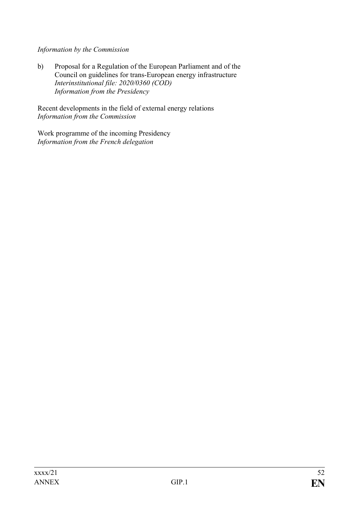## *Information by the Commission*

b) Proposal for a Regulation of the European Parliament and of the Council on guidelines for trans-European energy infrastructure *Interinstitutional file: 2020/0360 (COD) Information from the Presidency*

Recent developments in the field of external energy relations *Information from the Commission*

Work programme of the incoming Presidency *Information from the French delegation*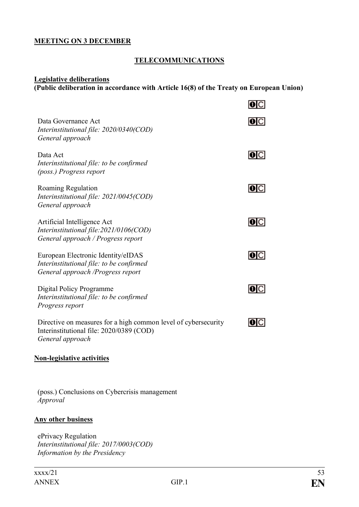#### **MEETING ON 3 DECEMBER**

## **TELECOMMUNICATIONS**

#### **Legislative deliberations**

# **(Public deliberation in accordance with Article 16(8) of the Treaty on European Union)**

|                                                                                                                                | O C  |
|--------------------------------------------------------------------------------------------------------------------------------|------|
| Data Governance Act<br>Interinstitutional file: 2020/0340(COD)<br>General approach                                             | O C  |
| Data Act<br>Interinstitutional file: to be confirmed<br>(poss.) Progress report                                                | O C  |
| Roaming Regulation<br>Interinstitutional file: 2021/0045(COD)<br>General approach                                              | O C  |
| Artificial Intelligence Act<br>Interinstitutional file:2021/0106(COD)<br>General approach / Progress report                    | O C  |
| European Electronic Identity/eIDAS<br>Interinstitutional file: to be confirmed<br>General approach / Progress report           | IOIC |
| Digital Policy Programme<br>Interinstitutional file: to be confirmed<br>Progress report                                        | IOIC |
| Directive on measures for a high common level of cybersecurity<br>Interinstitutional file: 2020/0389 (COD)<br>General approach | IOIC |
| <b>Non-legislative activities</b>                                                                                              |      |
|                                                                                                                                |      |

(poss.) Conclusions on Cybercrisis management *Approval*

#### **Any other business**

ePrivacy Regulation *Interinstitutional file: 2017/0003(COD) Information by the Presidency*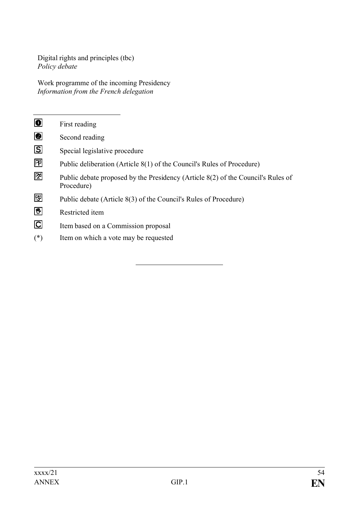Digital rights and principles (tbc) *Policy debate*

Work programme of the incoming Presidency *Information from the French delegation*

| $\bullet$    | First reading                                                                                  |
|--------------|------------------------------------------------------------------------------------------------|
| ◙            | Second reading                                                                                 |
| $\boxed{5}$  | Special legislative procedure                                                                  |
| 囨            | Public deliberation (Article 8(1) of the Council's Rules of Procedure)                         |
| 囫            | Public debate proposed by the Presidency (Article 8(2) of the Council's Rules of<br>Procedure) |
| $\mathbb{E}$ | Public debate (Article 8(3) of the Council's Rules of Procedure)                               |
| 医            | Restricted item                                                                                |
| $\Box$       | Item based on a Commission proposal                                                            |
| $(*)$        | Item on which a vote may be requested                                                          |
|              |                                                                                                |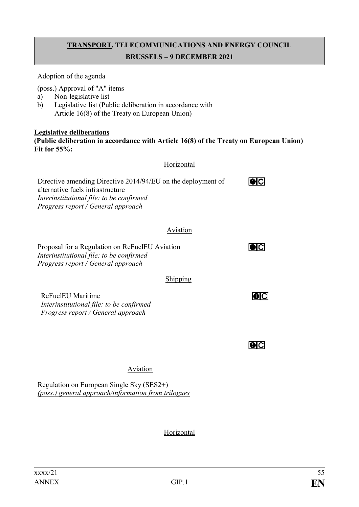# **TRANSPORT, TELECOMMUNICATIONS AND ENERGY COUNCIL BRUSSELS – 9 DECEMBER 2021**

Adoption of the agenda

(poss.) Approval of "A" items

- a) Non-legislative list
- b) Legislative list (Public deliberation in accordance with Article 16(8) of the Treaty on European Union)

#### **Legislative deliberations (Public deliberation in accordance with Article 16(8) of the Treaty on European Union) Fit for 55%:**

## Horizontal

| Directive amending Directive 2014/94/EU on the deployment of<br>alternative fuels infrastructure<br>Interinstitutional file: to be confirmed<br>Progress report / General approach |          | IOIC |
|------------------------------------------------------------------------------------------------------------------------------------------------------------------------------------|----------|------|
|                                                                                                                                                                                    | Aviation |      |
| Proposal for a Regulation on ReFuelEU Aviation<br>Interinstitutional file: to be confirmed<br>Progress report / General approach                                                   |          | IOIC |
|                                                                                                                                                                                    | Shipping |      |
| ReFuelEU Maritime<br>Interinstitutional file: to be confirmed<br>Progress report / General approach                                                                                |          |      |
|                                                                                                                                                                                    |          |      |

## Aviation

Regulation on European Single Sky (SES2+) *(poss.) general approach/information from trilogues*

## Horizontal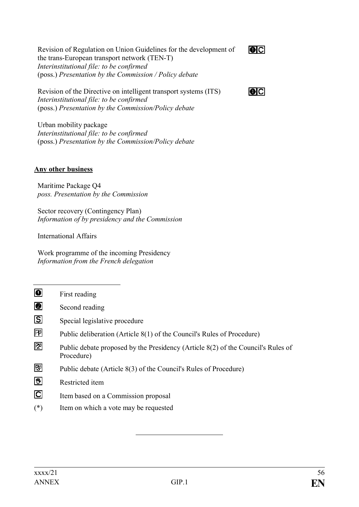Revision of Regulation on Union Guidelines for the development of the trans-European transport network (TEN-T) *Interinstitutional file: to be confirmed* (poss.) *Presentation by the Commission / Policy debate*

 $\overline{\bullet}$ 

 $|O|C|$ 

Revision of the Directive on intelligent transport systems (ITS) *Interinstitutional file: to be confirmed* (poss.) *Presentation by the Commission/Policy debate*

Urban mobility package *Interinstitutional file: to be confirmed* (poss.) *Presentation by the Commission/Policy debate*

## **Any other business**

Maritime Package Q4 *poss. Presentation by the Commission*

Sector recovery (Contingency Plan) *Information of by presidency and the Commission*

International Affairs

Work programme of the incoming Presidency *Information from the French delegation*

 $\overline{\bullet}$ First reading o Second reading **S** Special legislative procedure 冋 Public deliberation (Article 8(1) of the Council's Rules of Procedure) 囨 Public debate proposed by the Presidency (Article 8(2) of the Council's Rules of Procedure) 冏 Public debate (Article 8(3) of the Council's Rules of Procedure) 网 Restricted item  $\overline{C}$ Item based on a Commission proposal (\*) Item on which a vote may be requested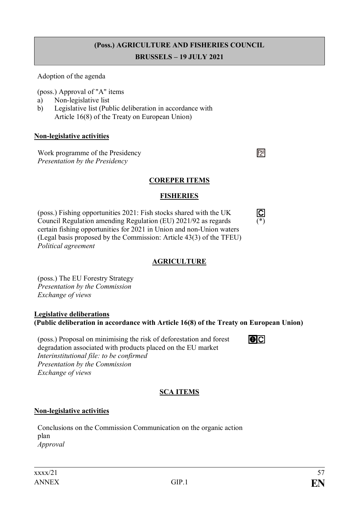# **(Poss.) AGRICULTURE AND FISHERIES COUNCIL**

#### **BRUSSELS – 19 JULY 2021**

Adoption of the agenda

(poss.) Approval of "A" items

- a) Non-legislative list
- b) Legislative list (Public deliberation in accordance with Article 16(8) of the Treaty on European Union)

#### **Non-legislative activities**

Work programme of the Presidency *Presentation by the Presidency*

#### **COREPER ITEMS**

#### **FISHERIES**

 $\frac{\boxed{\text{C}}}{\binom{*}{}}$ 

 $\overline{O}$ 

囨

(poss.) Fishing opportunities 2021: Fish stocks shared with the UK Council Regulation amending Regulation (EU) 2021/92 as regards certain fishing opportunities for 2021 in Union and non-Union waters (Legal basis proposed by the Commission: Article 43(3) of the TFEU) *Political agreement*

## **AGRICULTURE**

(poss.) The EU Forestry Strategy *Presentation by the Commission Exchange of views*

#### **Legislative deliberations (Public deliberation in accordance with Article 16(8) of the Treaty on European Union)**

(poss.) Proposal on minimising the risk of deforestation and forest degradation associated with products placed on the EU market *Interinstitutional file: to be confirmed Presentation by the Commission Exchange of views*

## **SCA ITEMS**

## **Non-legislative activities**

Conclusions on the Commission Communication on the organic action plan *Approval*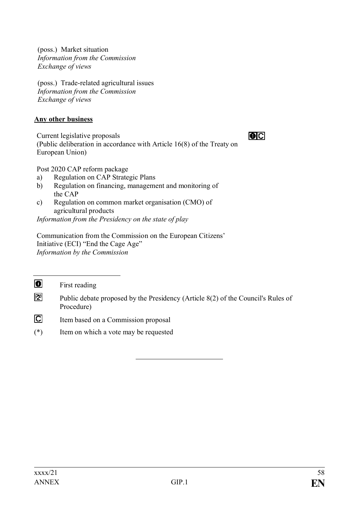(poss.) Market situation *Information from the Commission Exchange of views*

(poss.) Trade-related agricultural issues *Information from the Commission Exchange of views*

## **Any other business**

Current legislative proposals (Public deliberation in accordance with Article 16(8) of the Treaty on European Union)

 $\overline{\bullet}$   $\overline{\circ}$ 

Post 2020 CAP reform package

- a) Regulation on CAP Strategic Plans
- b) Regulation on financing, management and monitoring of the CAP
- c) Regulation on common market organisation (CMO) of agricultural products

*Information from the Presidency on the state of play*

Communication from the Commission on the European Citizens' Initiative (ECI) "End the Cage Age" *Information by the Commission*

 $\bullet$ First reading

- 团 Public debate proposed by the Presidency (Article 8(2) of the Council's Rules of Procedure)
- $\overline{C}$ Item based on a Commission proposal
- (\*) Item on which a vote may be requested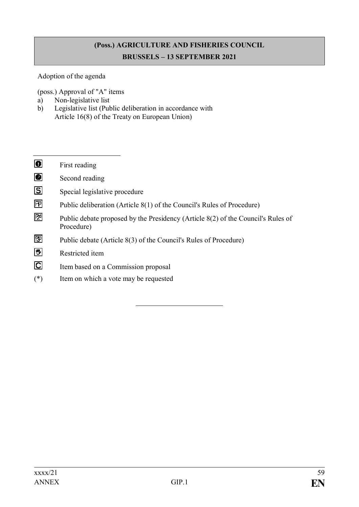# **(Poss.) AGRICULTURE AND FISHERIES COUNCIL BRUSSELS – 13 SEPTEMBER 2021**

Adoption of the agenda

(poss.) Approval of "A" items

- a) Non-legislative list
- b) Legislative list (Public deliberation in accordance with Article 16(8) of the Treaty on European Union)
- $\overline{\bullet}$ First reading  $\overline{\bullet}$ Second reading  $\overline{S}$ Special legislative procedure 冋 Public deliberation (Article 8(1) of the Council's Rules of Procedure) 囨 Public debate proposed by the Presidency (Article 8(2) of the Council's Rules of Procedure) 冏 Public debate (Article 8(3) of the Council's Rules of Procedure)  $\boxed{\mathbf{w}}$ Restricted item  $\overline{C}$ Item based on a Commission proposal (\*) Item on which a vote may be requested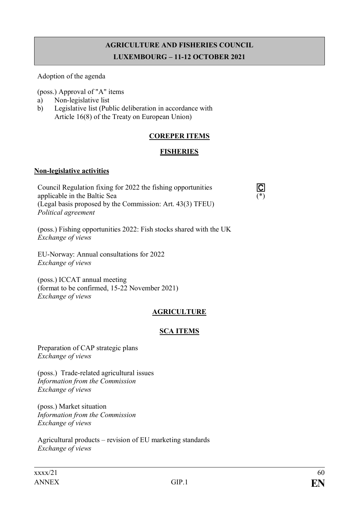# **AGRICULTURE AND FISHERIES COUNCIL LUXEMBOURG – 11-12 OCTOBER 2021**

Adoption of the agenda

(poss.) Approval of "A" items

- a) Non-legislative list
- b) Legislative list (Public deliberation in accordance with Article 16(8) of the Treaty on European Union)

## **COREPER ITEMS**

## **FISHERIES**

 $\overline{\text{C}}$ <br>(\*)

#### **Non-legislative activities**

Council Regulation fixing for 2022 the fishing opportunities applicable in the Baltic Sea (Legal basis proposed by the Commission: Art. 43(3) TFEU) *Political agreement*

(poss.) Fishing opportunities 2022: Fish stocks shared with the UK *Exchange of views*

EU-Norway: Annual consultations for 2022 *Exchange of views*

(poss.) ICCAT annual meeting (format to be confirmed, 15-22 November 2021) *Exchange of views*

## **AGRICULTURE**

## **SCA ITEMS**

Preparation of CAP strategic plans *Exchange of views*

(poss.) Trade-related agricultural issues *Information from the Commission Exchange of views*

(poss.) Market situation *Information from the Commission Exchange of views*

Agricultural products – revision of EU marketing standards *Exchange of views*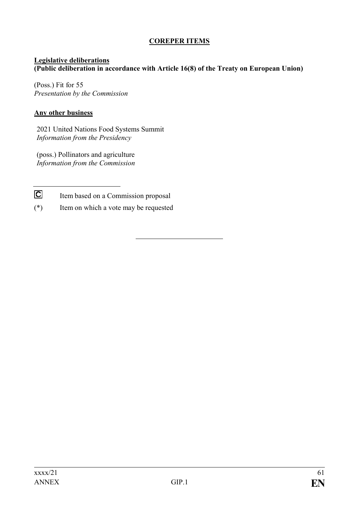## **COREPER ITEMS**

#### **Legislative deliberations (Public deliberation in accordance with Article 16(8) of the Treaty on European Union)**

(Poss.) Fit for 55 *Presentation by the Commission*

#### **Any other business**

2021 United Nations Food Systems Summit *Information from the Presidency*

(poss.) Pollinators and agriculture *Information from the Commission*

 $\overline{C}$ Item based on a Commission proposal

(\*) Item on which a vote may be requested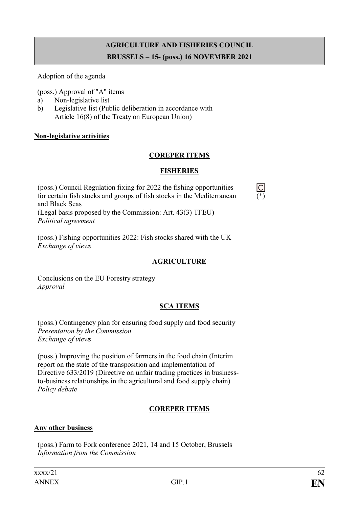# **AGRICULTURE AND FISHERIES COUNCIL BRUSSELS – 15- (poss.) 16 NOVEMBER 2021**

Adoption of the agenda

(poss.) Approval of "A" items

- a) Non-legislative list
- b) Legislative list (Public deliberation in accordance with Article 16(8) of the Treaty on European Union)

## **Non-legislative activities**

## **COREPER ITEMS**

## **FISHERIES**

 $\frac{C}{(*)}$ 

(poss.) Council Regulation fixing for 2022 the fishing opportunities for certain fish stocks and groups of fish stocks in the Mediterranean and Black Seas (Legal basis proposed by the Commission: Art. 43(3) TFEU) *Political agreement*

(poss.) Fishing opportunities 2022: Fish stocks shared with the UK *Exchange of views*

## **AGRICULTURE**

Conclusions on the EU Forestry strategy *Approval*

## **SCA ITEMS**

(poss.) Contingency plan for ensuring food supply and food security *Presentation by the Commission Exchange of views*

(poss.) Improving the position of farmers in the food chain (Interim report on the state of the transposition and implementation of Directive 633/2019 (Directive on unfair trading practices in businessto-business relationships in the agricultural and food supply chain) *Policy debate*

## **COREPER ITEMS**

## **Any other business**

(poss.) Farm to Fork conference 2021, 14 and 15 October, Brussels *Information from the Commission*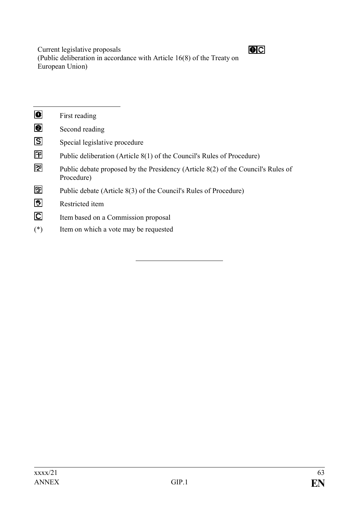Current legislative proposals (Public deliberation in accordance with Article 16(8) of the Treaty on European Union)

| $\blacksquare$            | First reading                                                                                  |
|---------------------------|------------------------------------------------------------------------------------------------|
| ◙                         | Second reading                                                                                 |
| <u>। ह</u>                | Special legislative procedure                                                                  |
| 囨                         | Public deliberation (Article 8(1) of the Council's Rules of Procedure)                         |
| 囫                         | Public debate proposed by the Presidency (Article 8(2) of the Council's Rules of<br>Procedure) |
| 囫                         | Public debate (Article 8(3) of the Council's Rules of Procedure)                               |
| 圀                         | Restricted item                                                                                |
| $\boldsymbol{\mathsf{C}}$ | Item based on a Commission proposal                                                            |
| $(*)$                     | Item on which a vote may be requested                                                          |
|                           |                                                                                                |

 $OC$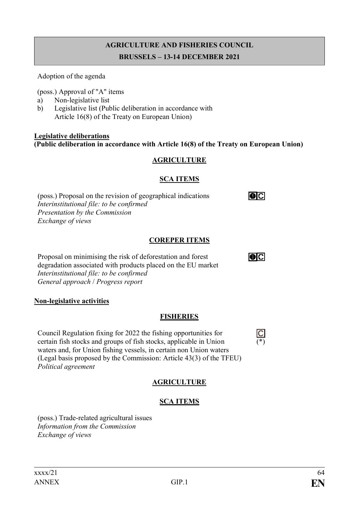# **AGRICULTURE AND FISHERIES COUNCIL BRUSSELS – 13-14 DECEMBER 2021**

Adoption of the agenda

(poss.) Approval of "A" items

- a) Non-legislative list
- b) Legislative list (Public deliberation in accordance with Article 16(8) of the Treaty on European Union)

**Legislative deliberations (Public deliberation in accordance with Article 16(8) of the Treaty on European Union)**

## **AGRICULTURE**

## **SCA ITEMS**

(poss.) Proposal on the revision of geographical indications *Interinstitutional file: to be confirmed Presentation by the Commission Exchange of views*

## **COREPER ITEMS**

Proposal on minimising the risk of deforestation and forest degradation associated with products placed on the EU market *Interinstitutional file: to be confirmed General approach* / *Progress report*

## **Non-legislative activities**

## **FISHERIES**

 $\frac{C}{(*)}$ 

 $\overline{\text{O}}$ 

 $\overline{\text{O}}$ 

Council Regulation fixing for 2022 the fishing opportunities for certain fish stocks and groups of fish stocks, applicable in Union waters and, for Union fishing vessels, in certain non Union waters (Legal basis proposed by the Commission: Article 43(3) of the TFEU) *Political agreement*

# **AGRICULTURE**

## **SCA ITEMS**

(poss.) Trade-related agricultural issues *Information from the Commission Exchange of views*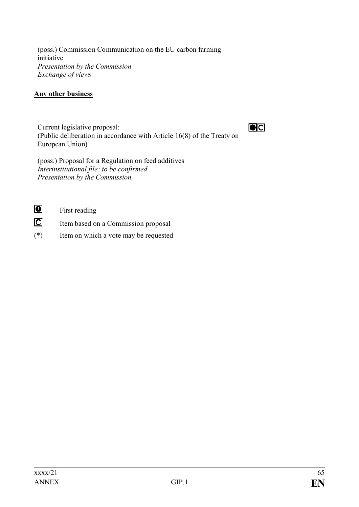(poss.) Commission Communication on the EU carbon farming initiative *Presentation by the Commission Exchange of views*

## **Any other business**

Current legislative proposal: (Public deliberation in accordance with Article 16(8) of the Treaty on European Union)

 $O<sub>C</sub>$ 

(poss.) Proposal for a Regulation on feed additives *Interinstitutional file: to be confirmed Presentation by the Commission*

 $\bullet$ 

First reading

- $\overline{C}$ Item based on a Commission proposal
- (\*) Item on which a vote may be requested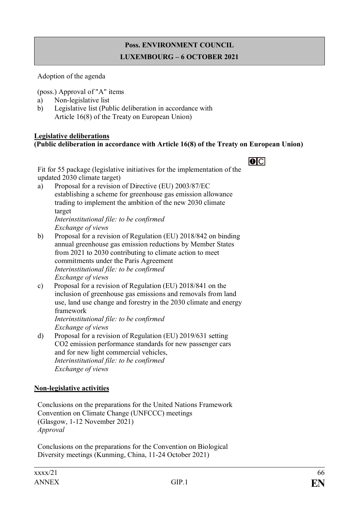# **Poss. ENVIRONMENT COUNCIL LUXEMBOURG – 6 OCTOBER 2021**

Adoption of the agenda

(poss.) Approval of "A" items

- a) Non-legislative list
- b) Legislative list (Public deliberation in accordance with Article 16(8) of the Treaty on European Union)

#### **Legislative deliberations (Public deliberation in accordance with Article 16(8) of the Treaty on European Union)**

# $\overline{O}$

Fit for 55 package (legislative initiatives for the implementation of the updated 2030 climate target)

a) Proposal for a revision of Directive (EU) 2003/87/EC establishing a scheme for greenhouse gas emission allowance trading to implement the ambition of the new 2030 climate target *Interinstitutional file: to be confirmed*

*Exchange of views*

- b) Proposal for a revision of Regulation (EU) 2018/842 on binding annual greenhouse gas emission reductions by Member States from 2021 to 2030 contributing to climate action to meet commitments under the Paris Agreement *Interinstitutional file: to be confirmed Exchange of views*
- c) Proposal for a revision of Regulation (EU) 2018/841 on the inclusion of greenhouse gas emissions and removals from land use, land use change and forestry in the 2030 climate and energy framework *Interinstitutional file: to be confirmed*

*Exchange of views*

d) Proposal for a revision of Regulation (EU) 2019/631 setting CO2 emission performance standards for new passenger cars and for new light commercial vehicles, *Interinstitutional file: to be confirmed Exchange of views*

## **Non-legislative activities**

Conclusions on the preparations for the United Nations Framework Convention on Climate Change (UNFCCC) meetings (Glasgow, 1-12 November 2021) *Approval*

Conclusions on the preparations for the Convention on Biological Diversity meetings (Kunming, China, 11-24 October 2021)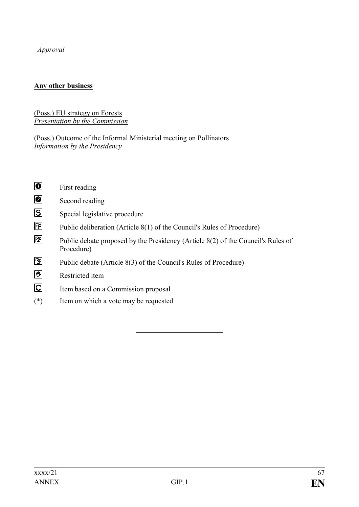*Approval*

# **Any other business**

#### (Poss.) EU strategy on Forests *Presentation by the Commission*

(Poss.) Outcome of the Informal Ministerial meeting on Pollinators *Information by the Presidency*

| $\bullet$               | First reading                                                                                  |
|-------------------------|------------------------------------------------------------------------------------------------|
| ◙                       | Second reading                                                                                 |
| $\boxdot$               | Special legislative procedure                                                                  |
| 囨                       | Public deliberation (Article 8(1) of the Council's Rules of Procedure)                         |
| 囫                       | Public debate proposed by the Presidency (Article 8(2) of the Council's Rules of<br>Procedure) |
| 囨                       | Public debate (Article 8(3) of the Council's Rules of Procedure)                               |
| 鬯                       | Restricted item                                                                                |
| $\overline{\mathbf{C}}$ | Item based on a Commission proposal                                                            |
| $(*)$                   | Item on which a vote may be requested                                                          |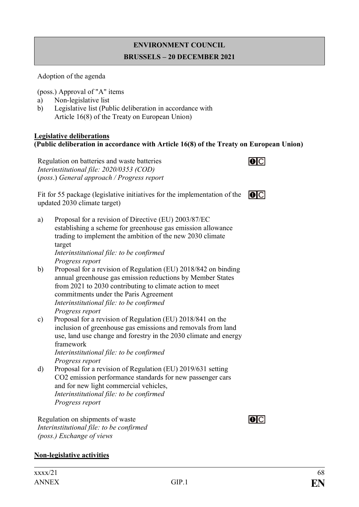# **ENVIRONMENT COUNCIL BRUSSELS – 20 DECEMBER 2021**

Adoption of the agenda

(poss.) Approval of "A" items

- a) Non-legislative list
- b) Legislative list (Public deliberation in accordance with Article 16(8) of the Treaty on European Union)

#### **Legislative deliberations (Public deliberation in accordance with Article 16(8) of the Treaty on European Union)**

Regulation on batteries and waste batteries *Interinstitutional file: 2020/0353 (COD)* (*poss*.) *General approach / Progress report*



 $\overline{O}$ 

Fit for 55 package (legislative initiatives for the implementation of the  $\Box$ updated 2030 climate target)

- a) Proposal for a revision of Directive (EU) 2003/87/EC establishing a scheme for greenhouse gas emission allowance trading to implement the ambition of the new 2030 climate target *Interinstitutional file: to be confirmed Progress report*
- b) Proposal for a revision of Regulation (EU) 2018/842 on binding annual greenhouse gas emission reductions by Member States from 2021 to 2030 contributing to climate action to meet commitments under the Paris Agreement *Interinstitutional file: to be confirmed Progress report*
- c) Proposal for a revision of Regulation (EU) 2018/841 on the inclusion of greenhouse gas emissions and removals from land use, land use change and forestry in the 2030 climate and energy framework

*Interinstitutional file: to be confirmed Progress report*

d) Proposal for a revision of Regulation (EU) 2019/631 setting CO2 emission performance standards for new passenger cars and for new light commercial vehicles, *Interinstitutional file: to be confirmed Progress report*

Regulation on shipments of waste *Interinstitutional file: to be confirmed (poss.) Exchange of views*

## **Non-legislative activities**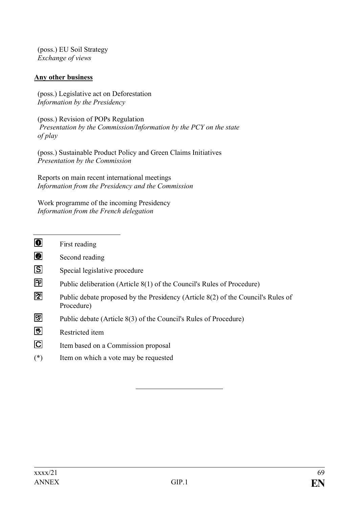(poss.) EU Soil Strategy *Exchange of views*

## **Any other business**

(poss.) Legislative act on Deforestation *Information by the Presidency* 

(poss.) Revision of POPs Regulation *Presentation by the Commission/Information by the PCY on the state of play*

(poss.) Sustainable Product Policy and Green Claims Initiatives *Presentation by the Commission*

Reports on main recent international meetings *Information from the Presidency and the Commission*

Work programme of the incoming Presidency *Information from the French delegation*

- $\overline{\mathbf{0}}$ First reading
- $\overline{\mathbf{0}}$ Second reading
- $|S|$ Special legislative procedure
- 冋 Public deliberation (Article 8(1) of the Council's Rules of Procedure)
- 团 Public debate proposed by the Presidency (Article 8(2) of the Council's Rules of Procedure)
- 冏 Public debate (Article 8(3) of the Council's Rules of Procedure)
- 网 Restricted item
- $\overline{C}$ Item based on a Commission proposal
- (\*) Item on which a vote may be requested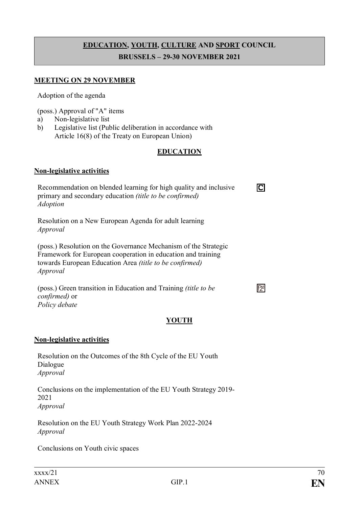# **EDUCATION, YOUTH, CULTURE AND SPORT COUNCIL BRUSSELS – 29-30 NOVEMBER 2021**

#### **MEETING ON 29 NOVEMBER**

Adoption of the agenda

(poss.) Approval of "A" items

- a) Non-legislative list
- b) Legislative list (Public deliberation in accordance with Article 16(8) of the Treaty on European Union)

#### **EDUCATION**

ГCІ

 $\mathbb{E}$ 

#### **Non-legislative activities**

Recommendation on blended learning for high quality and inclusive primary and secondary education *(title to be confirmed) Adoption*

Resolution on a New European Agenda for adult learning *Approval*

(poss.) Resolution on the Governance Mechanism of the Strategic Framework for European cooperation in education and training towards European Education Area *(title to be confirmed) Approval*

(poss.) Green transition in Education and Training *(title to be confirmed)* or *Policy debate*

## **YOUTH**

#### **Non-legislative activities**

Resolution on the Outcomes of the 8th Cycle of the EU Youth Dialogue *Approval*

Conclusions on the implementation of the EU Youth Strategy 2019- 2021 *Approval*

Resolution on the EU Youth Strategy Work Plan 2022-2024 *Approval*

Conclusions on Youth civic spaces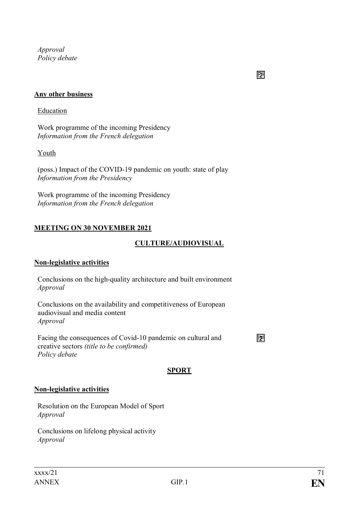*Approval Policy debate*

# 囨

## **Any other business**

#### Education

Work programme of the incoming Presidency *Information from the French delegation*

## Youth

(poss.) Impact of the COVID-19 pandemic on youth: state of play *Information from the Presidency*

Work programme of the incoming Presidency *Information from the French delegation*

## **MEETING ON 30 NOVEMBER 2021**

## **CULTURE/AUDIOVISUAL**

#### **Non-legislative activities**

Conclusions on the high-quality architecture and built environment *Approval*

Conclusions on the availability and competitiveness of European audiovisual and media content *Approval*

Facing the consequences of Covid-10 pandemic on cultural and creative sectors *(title to be confirmed) Policy debate*

囨

## **SPORT**

## **Non-legislative activities**

Resolution on the European Model of Sport *Approval*

Conclusions on lifelong physical activity *Approval*